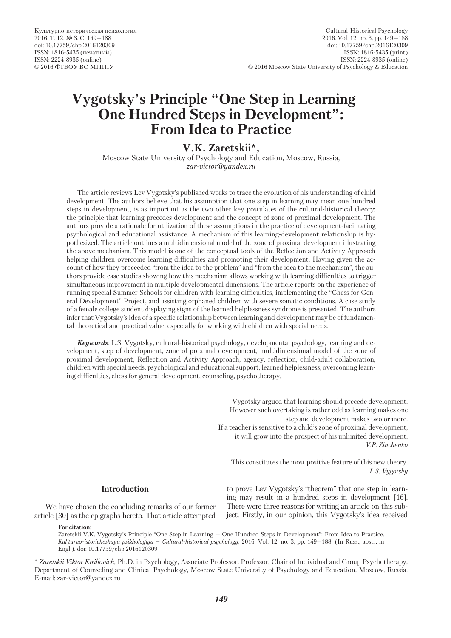# **Vygotsky's Principle "One Step in Learning — One Hundred Steps in Development": From Idea to Practice**

**V.K. Zaretskii\*,**

Moscow State University of Psychology and Education, Moscow, Russia, *zar-victor@yandex.ru*

The article reviews Lev Vygotsky's published works to trace the evolution of his understanding of child development. The authors believe that his assumption that one step in learning may mean one hundred steps in development, is as important as the two other key postulates of the cultural-historical theory: the principle that learning precedes development and the concept of zone of proximal development. The authors provide a rationale for utilization of these assumptions in the practice of development-facilitating psychological and educational assistance. A mechanism of this learning-development relationship is hypothesized. The article outlines a multidimensional model of the zone of proximal development illustrating the above mechanism. This model is one of the conceptual tools of the Reflection and Activity Approach helping children overcome learning difficulties and promoting their development. Having given the account of how they proceeded "from the idea to the problem" and "from the idea to the mechanism", the authors provide case studies showing how this mechanism allows working with learning difficulties to trigger simultaneous improvement in multiple developmental dimensions. The article reports on the experience of running special Summer Schools for children with learning difficulties, implementing the "Chess for General Development" Project, and assisting orphaned children with severe somatic conditions. A case study of a female college student displaying signs of the learned helplessness syndrome is presented. The authors infer that Vygotsky's idea of a specific relationship between learning and development may be of fundamental theoretical and practical value, especially for working with children with special needs.

*Keywords*: L.S. Vygotsky, cultural-historical psychology, developmental psychology, learning and development, step of development, zone of proximal development, multidimensional model of the zone of proximal development, Reflection and Activity Approach, agency, reflection, child-adult collaboration, children with special needs, psychological and educational support, learned helplessness, overcoming learning difficulties, chess for general development, counseling, psychotherapy.

> Vygotsky argued that learning should precede development. However such overtaking is rather odd as learning makes one step and development makes two or more. If a teacher is sensitive to a child's zone of proximal development, it will grow into the prospect of his unlimited development. *V.P. Zinchenko*

This constitutes the most positive feature of this new theory. *L.S. Vygotsky*

#### **Introduction**

We have chosen the concluding remarks of our former article [30] as the epigraphs hereto. That article attempted

**For citation**:

to prove Lev Vygotsky's "theorem" that one step in learning may result in a hundred steps in development [16]. There were three reasons for writing an article on this subject. Firstly, in our opinion, this Vygotsky's idea received

Zaretskii V.K. Vygotsky's Principle "One Step in Learning — One Hundred Steps in Development": From Idea to Practice. *Кul'turno-istoricheskaya psikhologiya = Cultural-historical psychology*, 2016. Vol. 12, no. 3, pp. 149—188. (In Russ., abstr. in Engl.). doi: 10.17759/chp.2016120309

\* *Zaretskii Viktor Kirillovich*, Ph.D. in Psychology, Associate Professor, Professor, Chair of Individual and Group Psychotherapy, Department of Counseling and Clinical Psychology, Moscow State University of Psychology and Education, Moscow, Russia. E-mail: zar-victor@yandex.ru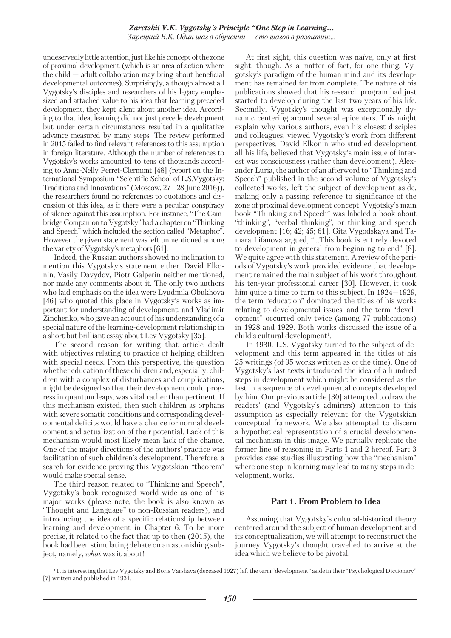undeservedly little attention, just like his concept of the zone of proximal development (which is an area of action where the child — adult collaboration may bring about beneficial developmental outcomes). Surprisingly, although almost all Vygotsky's disciples and researchers of his legacy emphasized and attached value to his idea that learning preceded development, they kept silent about another idea. According to that idea, learning did not just precede development but under certain circumstances resulted in a qualitative advance measured by many steps. The review performed in 2015 failed to find relevant references to this assumption in foreign literature. Although the number of references to Vygotsky's works amounted to tens of thousands according to Anne-Nelly Perret-Clermont [48] (report on the International Symposium "Scientific School of L.S.Vygotsky: Traditions and Innovations" (Moscow, 27—28 June 2016)), the researchers found no references to quotations and discussion of this idea, as if there were a peculiar conspiracy of silence against this assumption. For instance, "The Cambridge Companion to Vygotsky" had a chapter on "Thinking and Speech" which included the section called "Metaphor". However the given statement was left unmentioned among the variety of Vygotsky's metaphors [61].

Indeed, the Russian authors showed no inclination to mention this Vygotsky's statement either. David Elkonin, Vasily Davydov, Piotr Galperin neither mentioned, nor made any comments about it. The only two authors who laid emphasis on the idea were Lyudmila Obukhova [46] who quoted this place in Vygotsky's works as important for understanding of development, and Vladimir Zinchenko, who gave an account of his understanding of a special nature of the learning-development relationship in a short but brilliant essay about Lev Vygotsky [35].

The second reason for writing that article dealt with objectives relating to practice of helping children with special needs. From this perspective, the question whether education of these children and, especially, children with a complex of disturbances and complications, might be designed so that their development could progress in quantum leaps, was vital rather than pertinent. If this mechanism existed, then such children as orphans with severe somatic conditions and corresponding developmental deficits would have a chance for normal development and actualization of their potential. Lack of this mechanism would most likely mean lack of the chance. One of the major directions of the authors' practice was facilitation of such children's development. Therefore, a search for evidence proving this Vygotskian "theorem" would make special sense.

The third reason related to "Thinking and Speech", Vygotsky's book recognized world-wide as one of his major works (please note, the book is also known as "Thought and Language" to non-Russian readers), and introducing the idea of a specific relationship between learning and development in Chapter 6. To be more precise, it related to the fact that up to then (2015), the book had been stimulating debate on an astonishing subject, namely, *what* was it about!

At first sight, this question was naïve, only at first sight, though. As a matter of fact, for one thing, Vygotsky's paradigm of the human mind and its development has remained far from complete. The nature of his publications showed that his research program had just started to develop during the last two years of his life. Secondly, Vygotsky's thought was exceptionally dynamic centering around several epicenters. This might explain why various authors, even his closest disciples and colleagues, viewed Vygotsky's work from different perspectives. David Elkonin who studied development all his life, believed that Vygotsky's main issue of interest was consciousness (rather than development). Alexander Luria, the author of an afterword to "Thinking and Speech" published in the second volume of Vygotsky's collected works, left the subject of development aside, making only a passing reference to significance of the zone of proximal development concept. Vygotsky's main book "Thinking and Speech" was labeled a book about "thinking", "verbal thinking", or thinking and speech development [16; 42; 45; 61]. Gita Vygodskaya and Tamara Lifanova argued, "…This book is entirely devoted to development in general from beginning to end" [8]. We quite agree with this statement. A review of the periods of Vygotsky's work provided evidence that development remained the main subject of his work throughout his ten-year professional career [30]. However, it took him quite a time to turn to this subject. In 1924—1929, the term "education" dominated the titles of his works relating to developmental issues, and the term "development" occurred only twice (among 77 publications) in 1928 and 1929. Both works discussed the issue of a child's cultural development<sup>1</sup>.

In 1930, L.S. Vygotsky turned to the subject of development and this term appeared in the titles of his 25 writings (of 95 works written as of the time). One of Vygotsky's last texts introduced the idea of a hundred steps in development which might be considered as the last in a sequence of developmental concepts developed by him. Our previous article [30] attempted to draw the readers' (and Vygotsky's admirers) attention to this assumption as especially relevant for the Vygotskian conceptual framework. We also attempted to discern a hypothetical representation of a crucial developmental mechanism in this image. We partially replicate the former line of reasoning in Parts 1 and 2 hereof. Part 3 provides case studies illustrating how the "mechanism" where one step in learning may lead to many steps in development, works.

## **Part 1. From Problem to Idea**

Assuming that Vygotsky's cultural-historical theory centered around the subject of human development and its conceptualization, we will attempt to reconstruct the journey Vygotsky's thought travelled to arrive at the idea which we believe to be pivotal.

<sup>&</sup>lt;sup>1</sup> It is interesting that Lev Vygotsky and Boris Varshava (deceased 1927) left the term "development" aside in their "Psychological Dictionary" [7] written and published in 1931.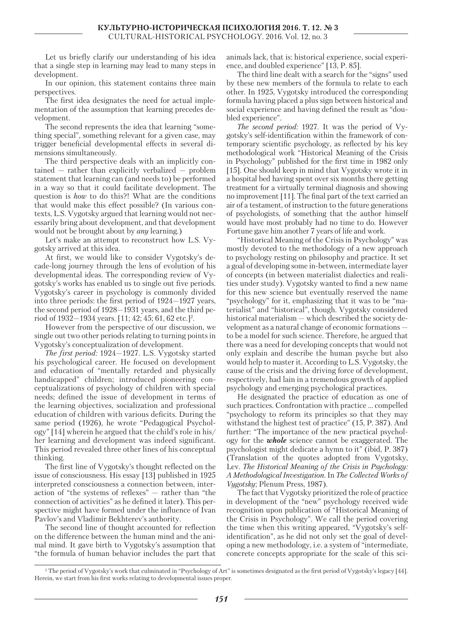Let us briefly clarify our understanding of his idea that a single step in learning may lead to many steps in development.

In our opinion, this statement contains three main perspectives.

The first idea designates the need for actual implementation of the assumption that learning precedes development.

The second represents the idea that learning "something special", something relevant for a given case, may trigger beneficial developmental effects in several dimensions simultaneously.

The third perspective deals with an implicitly contained — rather than explicitly verbalized — problem statement that learning can (and needs to) be performed in a way so that it could facilitate development. The question is *how* to do this?! What are the conditions that would make this effect possible? (In various contexts, L.S. Vygotsky argued that learning would not necessarily bring about development, and that development would not be brought about by *any* learning.)

Let's make an attempt to reconstruct how L.S. Vygotsky arrived at this idea.

At first, we would like to consider Vygotsky's decade-long journey through the lens of evolution of his developmental ideas. The corresponding review of Vygotsky's works has enabled us to single out five periods. Vygotsky's career in psychology is commonly divided into three periods: the first period of 1924—1927 years, the second period of 1928—1931 years, and the third period of 1932—1934 years. [11; 42; 45; 61, 62 etc.]<sup>2</sup>.

However from the perspective of our discussion, we single out two other periods relating to turning points in Vygotsky's conceptualization of development.

*The first period:* 1924—1927. L.S. Vygotsky started his psychological career. He focused on development and education of "mentally retarded and physically handicapped" children; introduced pioneering conceptualizations of psychology of children with special needs; defined the issue of development in terms of the learning objectives, socialization and professional education of children with various deficits. During the same period (1926), he wrote "Pedagogical Psychology" [14] wherein he argued that the child's role in his/ her learning and development was indeed significant. This period revealed three other lines of his conceptual thinking.

The first line of Vygotsky's thought reflected on the issue of consciousness. His essay [13] published in 1925 interpreted consciousness a connection between, interaction of "the systems of reflexes" — rather than "the connection of activities" as he defined it later). This perspective might have formed under the influence of Ivan Pavlov's and Vladimir Bekhterev's authority.

The second line of thought accounted for reflection on the difference between the human mind and the animal mind. It gave birth to Vygotsky's assumption that "the formula of human behavior includes the part that animals lack, that is: historical experience, social experience, and doubled experience" [13, P. 85].

The third line dealt with a search for the "signs" used by these new members of the formula to relate to each other. In 1925, Vygotsky introduced the corresponding formula having placed a plus sign between historical and social experience and having defined the result as "doubled experience".

*The second period:* 1927. It was the period of Vygotsky's self-identification within the framework of contemporary scientific psychology, as reflected by his key methodological work "Historical Meaning of the Crisis in Psychology" published for the first time in 1982 only [15]. One should keep in mind that Vygotsky wrote it in a hospital bed having spent over six months there getting treatment for a virtually terminal diagnosis and showing no improvement [11]. The final part of the text carried an air of a testament, of instruction to the future generations of psychologists, of something that the author himself would have most probably had no time to do. However Fortune gave him another 7 years of life and work.

"Historical Meaning of the Crisis in Psychology" was mostly devoted to the methodology of a new approach to psychology resting on philosophy and practice. It set a goal of developing some in-between, intermediate layer of concepts (in between materialist dialectics and realities under study). Vygotsky wanted to find a new name for this new science but eventually reserved the name "psychology" for it, emphasizing that it was to be "materialist" and "historical", though. Vygotsky considered historical materialism — which described the society development as a natural change of economic formations to be a model for such science. Therefore, he argued that there was a need for developing concepts that would not only explain and describe the human psyche but also would help to master it. According to L.S. Vygotsky, the cause of the crisis and the driving force of development, respectively, had lain in a tremendous growth of applied psychology and emerging psychological practices.

He designated the practice of education as one of such practices. Confrontation with practice … compelled "psychology to reform its principles so that they may withstand the highest test of practice" (15, P. 387). And further: "The importance of the new practical psychology for the *whole* science cannot be exaggerated. The psychologist might dedicate a hymn to it" (ibid, P. 387) (Translation of the quotes adopted from Vygotsky, Lev. *The Historical Meaning of the Crisis in Psychology: A Methodological Investigation.* In *The Collected Works of Vygotsky*; Plenum Press, 1987).

The fact that Vygotsky prioritized the role of practice in development of the "new" psychology received wide recognition upon publication of "Historical Meaning of the Crisis in Psychology". We call the period covering the time when this writing appeared, "Vygotsky's selfidentification", as he did not only set the goal of developing a new methodology, i.e. a system of "intermediate, concrete concepts appropriate for the scale of this sci-

<sup>&</sup>lt;sup>2</sup> The period of Vygotsky's work that culminated in "Psychology of Art" is sometimes designated as the first period of Vygotsky's legacy [44]. Herein, we start from his first works relating to developmental issues proper.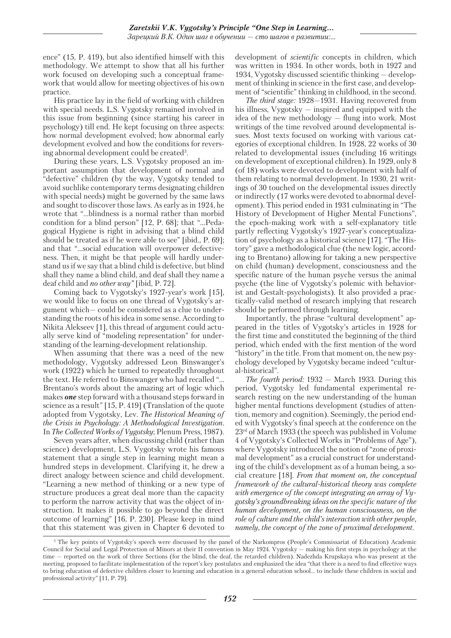ence" (15, P. 419), but also identified himself with this methodology. We attempt to show that all his further work focused on developing such a conceptual framework that would allow for meeting objectives of his own practice.

His practice lay in the field of working with children with special needs. L.S. Vygotsky remained involved in this issue from beginning (since starting his career in psychology) till end. He kept focusing on three aspects: how normal development evolved; how abnormal early development evolved and how the conditions for reversing abnormal development could be created3 .

During these years, L.S. Vygotsky proposed an important assumption that development of normal and "defective" children (by the way, Vygotsky tended to avoid suchlike contemporary terms designating children with special needs) might be governed by the same laws and sought to discover those laws. As early as in 1924, he wrote that "…blindness is a normal rather than morbid condition for a blind person" [12, P. 68]; that "…Pedagogical Hygiene is right in advising that a blind child should be treated as if he were able to see" [ibid., P. 69]; and that "…social education will overpower defectiveness. Then, it might be that people will hardly understand us if we say that a blind child is defective, but blind shall they name a blind child, and deaf shall they name a deaf child and *no other way"* [ibid, P. 72].

Coming back to Vygotsky's 1927-year's work [15], we would like to focus on one thread of Vygotsky's argument which— could be considered as a clue to understanding the roots of his idea in some sense. According to Nikita Alekseev [1], this thread of argument could actually serve kind of "modeling representation" for understanding of the learning-development relationship.

When assuming that there was a need of the new methodology, Vygotsky addressed Leon Binswanger's work (1922) which he turned to repeatedly throughout the text. He referred to Binswanger who had recalled "… Brentano's words about the amazing art of logic which makes *one* step forward with a thousand steps forward in science as a result" [15, P. 419] (Translation of the quote adopted from Vygotsky, Lev. *The Historical Meaning of the Crisis in Psychology: A Methodological Investigation.* In *The Collected Works of Vygotsky*; Plenum Press, 1987).

Seven years after, when discussing child (rather than science) development, L.S. Vygotsky wrote his famous statement that a single step in learning might mean a hundred steps in development. Clarifying it, he drew a direct analogy between science and child development. "Learning a new method of thinking or a new type of structure produces a great deal more than the capacity to perform the narrow activity that was the object of instruction. It makes it possible to go beyond the direct outcome of learning" [16, P. 230]. Please keep in mind that this statement was given in Chapter 6 devoted to development of *scientific* concepts in children, which was written in 1934. In other words, both in 1927 and 1934, Vygotsky discussed scientific thinking — development of thinking in science in the first case, and development of "scientific" thinking in childhood, in the second.

*The third stage:* 1928—1931. Having recovered from his illness, Vygotsky — inspired and equipped with the idea of the new methodology — flung into work. Most writings of the time revolved around developmental issues. Most texts focused on working with various categories of exceptional children. In 1928, 22 works of 30 related to developmental issues (including 16 writings on development of exceptional children). In 1929, only 8 (of 18) works were devoted to development with half of them relating to normal development. In 1930, 21 writings of 30 touched on the developmental issues directly or indirectly (17 works were devoted to abnormal development). This period ended in 1931 culminating in "The History of Development of Higher Mental Functions", the epoch-making work with a self-explanatory title partly reflecting Vygotsky's 1927-year's conceptualization of psychology as a historical science [17]. "The History" gave a methodological clue (the new logic, according to Brentano) allowing for taking a new perspective on child (human) development, consciousness and the specific nature of the human psyche versus the animal psyche (the line of Vygotsky's polemic with behaviorist and Gestalt-psychologists). It also provided a practically-valid method of research implying that research should be performed through learning.

Importantly, the phrase "cultural development" appeared in the titles of Vygotsky's articles in 1928 for the first time and constituted the beginning of the third period, which ended with the first mention of the word "history" in the title. From that moment on, the new psychology developed by Vygotsky became indeed "cultural-historical".

*The fourth period:* 1932 — March 1933. During this period, Vygotsky led fundamental experimental research resting on the new understanding of the human higher mental functions development (studies of attention, memory and cognition). Seemingly, the period ended with Vygotsky's final speech at the conference on the 23rd of March 1933 (the speech was published in Volume 4 of Vygotsky's Collected Works in "Problems of Age"), where Vygotsky introduced the notion of "zone of proximal development" as a crucial construct for understanding of the child's development as of a human being, a social creature [18]. *From that moment on, the conceptual framework of the cultural-historical theory was complete with emergence of the concept integrating an array of Vygotsky's groundbreaking ideas on the specific nature of the human development, on the human consciousness, on the role of culture and the child's interaction with other people, namely, the concept of the zone of proximal development.*

<sup>&</sup>lt;sup>3</sup> The key points of Vygotsky's speech were discussed by the panel of the Narkompros (People's Commissariat of Education) Academic Council for Social and Legal Protection of Minors at their II convention in May 1924. Vygotsky — making his first steps in psychology at the time — reported on the work of three Sections (for the blind, the deaf, the retarded children). Nadezhda Krupskaya who was present at the meeting, proposed to facilitate implementation of the report's key postulates and emphasized the idea "that there is a need to find effective ways to bring education of defective children closer to learning and education in a general education school… to include these children in social and professional activity" [11, P. 79].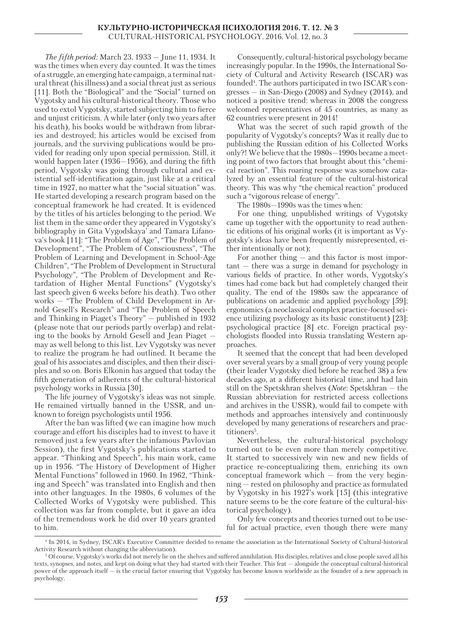*The fifth period:* March 23, 1933 — June 11, 1934. It was the times when every day counted. It was the times of a struggle, an emerging hate campaign, a terminal natural threat (his illness) and a social threat just as serious [11]. Both the "Biological" and the "Social" turned on Vygotsky and his cultural-historical theory. Those who used to extol Vygotsky, started subjecting him to fierce and unjust criticism. A while later (only two years after his death), his books would be withdrawn from libraries and destroyed; his articles would be excised from journals, and the surviving publications would be provided for reading only upon special permission. Still, it would happen later (1936—1956), and during the fifth period, Vygotsky was going through cultural and existential self-identification again, just like at a critical time in 1927, no matter what the "social situation" was. He started developing a research program based on the conceptual framework he had created. It is evidenced by the titles of his articles belonging to the period. We list them in the same order they appeared in Vygotsky's bibliography in Gita Vygodskaya' and Tamara Lifanova's book [11]: "The Problem of Age", "The Problem of Development", "The Problem of Consciousness", "The Problem of Learning and Development in School-Age Children", "The Problem of Development in Structural Psychology", "The Problem of Development and Retardation of Higher Mental Functions" (Vygotsky's last speech given 6 weeks before his death). Two other works — "The Problem of Child Development in Arnold Gesell's Research" and "The Problem of Speech and Thinking in Piaget's Theory" — published in 1932 (please note that our periods partly overlap) and relating to the books by Arnold Gesell and Jean Piaget may as well belong to this list. Lev Vygotsky was never to realize the program he had outlined. It became the goal of his associates and disciples, and then their disciples and so on. Boris Elkonin has argued that today the fifth generation of adherents of the cultural-historical psychology works in Russia [30].

The life journey of Vygotsky's ideas was not simple. He remained virtually banned in the USSR, and unknown to foreign psychologists until 1956.

After the ban was lifted (we can imagine how much courage and effort his disciples had to invest to have it removed just a few years after the infamous Pavlovian Session), the first Vygotsky's publications started to appear. "Thinking and Speech", his main work, came up in 1956. "The History of Development of Higher Mental Functions" followed in 1960. In 1962, "Thinking and Speech" was translated into English and then into other languages. In the 1980s, 6 volumes of the Collected Works of Vygotsky were published. This collection was far from complete, but it gave an idea of the tremendous work he did over 10 years granted to him.

Consequently, cultural-historical psychology became increasingly popular. In the 1990s, the International Society of Cultural and Activity Research (ISCAR) was founded<sup>4</sup>. The authors participated in two ISCAR's congresses — in San-Diego (2008) and Sydney (2014), and noticed a positive trend: whereas in 2008 the congress welcomed representatives of 45 countries, as many as 62 countries were present in 2014!

What was the secret of such rapid growth of the popularity of Vygotsky's concepts? Was it really due to publishing the Russian edition of his Collected Works only?! We believe that the 1980s—1990s became a meeting point of two factors that brought about this "chemical reaction". This roaring response was somehow catalyzed by an essential feature of the cultural-historical theory. This was why "the chemical reaction" produced such a "vigorous release of energy".

The 1980s—1990s was the times when:

For one thing, unpublished writings of Vygotsky came up together with the opportunity to read authentic editions of his original works (it is important as Vygotsky's ideas have been frequently misrepresented, either intentionally or not);

For another thing — and this factor is most impor $tant - there was a surge in demand for psychology in$ various fields of practice. In other words, Vygotsky's times had come back but had completely changed their quality. The end of the 1980s saw the appearance of publications on academic and applied psychology [59]; ergonomics (a neoclassical complex practice-focused science utilizing psychology as its basic constituent) [23]; psychological practice [8] etc. Foreign practical psychologists flooded into Russia translating Western approaches.

It seemed that the concept that had been developed over several years by a small group of very young people (their leader Vygotsky died before he reached 38) a few decades ago, at a different historical time, and had lain still on the Spetskhran shelves (*Note*: Spetskhran — the Russian abbreviation for restricted access collections and archives in the USSR), would fail to compete with methods and approaches intensively and continuously developed by many generations of researchers and practitioners<sup>5</sup>.

Nevertheless, the cultural-historical psychology turned out to be even more than merely competitive. It started to successively win new and new fields of practice re-conceptualizing them, enriching its own conceptual framework which — from the very beginning — rested on philosophy and practice as formulated by Vygotsky in his 1927's work [15] (this integrative nature seems to be the core feature of the cultural-historical psychology).

Only few concepts and theories turned out to be useful for actual practice, even though there were many

<sup>4</sup> In 2014, in Sydney, ISCAR's Executive Committee decided to rename the association as the International Society of Cultural-historical Activity Research without changing the abbreviation).

<sup>5</sup> Of course, Vygotsky's works did not merely lie on the shelves and suffered annihilation. His disciples, relatives and close people saved all his texts, synopses, and notes, and kept on doing what they had started with their Teacher. This feat — alongside the conceptual cultural-historical power of the approach itself — is the crucial factor ensuring that Vygotsky has become known worldwide as the founder of a new approach in psychology.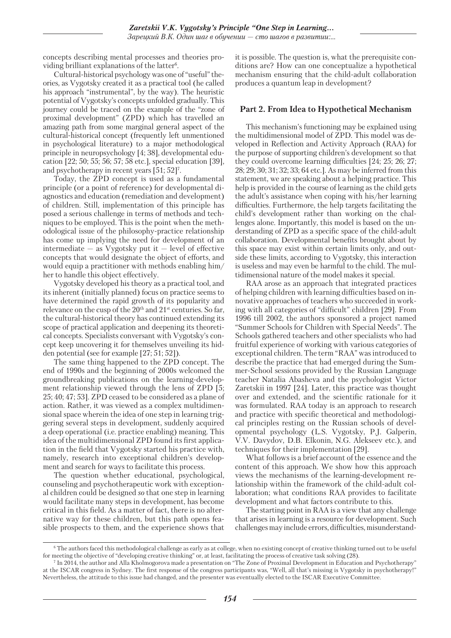concepts describing mental processes and theories providing brilliant explanations of the latter<sup>6</sup>.

Cultural-historical psychology was one of "useful" theories, as Vygotsky created it as a practical tool (he called his approach "instrumental", by the way). The heuristic potential of Vygotsky's concepts unfolded gradually. This journey could be traced on the example of the "zone of proximal development" (ZPD) which has travelled an amazing path from some marginal general aspect of the cultural-historical concept (frequently left unmentioned in psychological literature) to a major methodological principle in neuropsychology [4; 38], developmental education [22; 50; 55; 56; 57; 58 etc.], special education [39], and psychotherapy in recent years [51; 52]7 .

Today, the ZPD concept is used as a fundamental principle (or a point of reference) for developmental diagnostics and education (remediation and development) of children. Still, implementation of this principle has posed a serious challenge in terms of methods and techniques to be employed. This is the point when the methodological issue of the philosophy-practice relationship has come up implying the need for development of an intermediate  $-$  as Vygotsky put it  $-$  level of effective concepts that would designate the object of efforts, and would equip a practitioner with methods enabling him/ her to handle this object effectively.

Vygotsky developed his theory as a practical tool, and its inherent (initially planned) focus on practice seems to have determined the rapid growth of its popularity and relevance on the cusp of the 20th and 21st centuries. So far, the cultural-historical theory has continued extending its scope of practical application and deepening its theoretical concepts. Specialists conversant with Vygotsky's concept keep uncovering it for themselves unveiling its hidden potential (see for example [27; 51; 52]).

The same thing happened to the ZPD concept. The end of 1990s and the beginning of 2000s welcomed the groundbreaking publications on the learning-development relationship viewed through the lens of ZPD [5; 25; 40; 47; 53]. ZPD ceased to be considered as a plane of action. Rather, it was viewed as a complex multidimensional space wherein the idea of one step in learning triggering several steps in development, suddenly acquired a deep operational (i.e. practice enabling) meaning. This idea of the multidimensional ZPD found its first application in the field that Vygotsky started his practice with, namely, research into exceptional children's development and search for ways to facilitate this process.

The question whether educational, psychological, counseling and psychotherapeutic work with exceptional children could be designed *so* that one step in learning would facilitate many steps in development, has become critical in this field. As a matter of fact, there is no alternative way for these children, but this path opens feasible prospects to them, and the experience shows that

it is possible. The question is, what the prerequisite conditions are? How can one conceptualize a hypothetical mechanism ensuring that the child-adult collaboration produces a quantum leap in development?

## **Part 2. From Idea to Hypothetical Mechanism**

This mechanism's functioning may be explained using the multidimensional model of ZPD. This model was developed in Reflection and Activity Approach (RAA) for the purpose of supporting children's development so that they could overcome learning difficulties [24; 25; 26; 27; 28; 29; 30; 31; 32; 33; 64 etc.]. As may be inferred from this statement, we are speaking about a helping practice. This help is provided in the course of learning as the child gets the adult's assistance when coping with his/her learning difficulties. Furthermore, the help targets facilitating the child's development rather than working on the challenges alone. Importantly, this model is based on the understanding of ZPD as a specific space of the child-adult collaboration. Developmental benefits brought about by this space may exist within certain limits only, and outside these limits, according to Vygotsky, this interaction is useless and may even be harmful to the child. The multidimensional nature of the model makes it special.

RAA arose as an approach that integrated practices of helping children with learning difficulties based on innovative approaches of teachers who succeeded in working with all categories of "difficult" children [29]. From 1996 till 2002, the authors sponsored a project named "Summer Schools for Children with Special Needs". The Schools gathered teachers and other specialists who had fruitful experience of working with various categories of exceptional children. The term "RAA" was introduced to describe the practice that had emerged during the Summer-School sessions provided by the Russian Language teacher Natalia Abasheva and the psychologist Victor Zaretskii in 1997 [24]. Later, this practice was thought over and extended, and the scientific rationale for it was formulated. RAA today is an approach to research and practice with specific theoretical and methodological principles resting on the Russian schools of developmental psychology (L.S. Vygotsky, P.J. Galperin, V.V. Davydov, D.B. Elkonin, N.G. Alekseev etc.), and techniques for their implementation [29].

What follows is a brief account of the essence and the content of this approach. We show how this approach views the mechanisms of the learning-development relationship within the framework of the child-adult collaboration; what conditions RAA provides to facilitate development and what factors contribute to this.

The starting point in RAA is a view that any challenge that arises in learning is a resource for development. Such challenges may include errors, difficulties, misunderstand-

<sup>&</sup>lt;sup>6</sup> The authors faced this methodological challenge as early as at college, when no existing concept of creative thinking turned out to be useful for meeting the objective of "developing creative thinking" or, at least, facilitating the process of creative task solving (28).

<sup>7</sup> In 2014, the author and Alla Kholmogorova made a presentation on "The Zone of Proximal Development in Education and Psychotherapy" at the ISCAR congress in Sydney. The first response of the congress participants was, "Well, all that's missing is Vygotsky in psychotherapy!" Nevertheless, the attitude to this issue had changed, and the presenter was eventually elected to the ISCAR Executive Committee.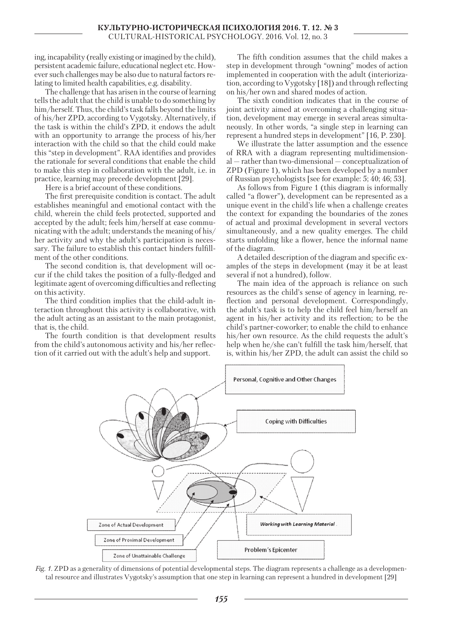ing, incapability (really existing or imagined by the child), persistent academic failure, educational neglect etc. However such challenges may be also due to natural factors relating to limited health capabilities, e.g. disability.

The challenge that has arisen in the course of learning tells the adult that the child is unable to do something by him/herself. Thus, the child's task falls beyond the limits of his/her ZPD, according to Vygotsky. Alternatively, if the task is within the child's ZPD, it endows the adult with an opportunity to arrange the process of his/her interaction with the child so that the child could make this "step in development". RAA identifies and provides the rationale for several conditions that enable the child to make this step in collaboration with the adult, i.e. in practice, learning may precede development [29].

Here is a brief account of these conditions.

The first prerequisite condition is contact. The adult establishes meaningful and emotional contact with the child, wherein the child feels protected, supported and accepted by the adult; feels him/herself at ease communicating with the adult; understands the meaning of his/ her activity and why the adult's participation is necessary. The failure to establish this contact hinders fulfillment of the other conditions.

The second condition is, that development will occur if the child takes the position of a fully-fledged and legitimate agent of overcoming difficulties and reflecting on this activity.

The third condition implies that the child-adult interaction throughout this activity is collaborative, with the adult acting as an assistant to the main protagonist, that is, the child.

The fourth condition is that development results from the child's autonomous activity and his/her reflection of it carried out with the adult's help and support.

The fifth condition assumes that the child makes a step in development through "owning" modes of action implemented in cooperation with the adult (interiorization, according to Vygotsky [18]) and through reflecting on his/her own and shared modes of action.

The sixth condition indicates that in the course of joint activity aimed at overcoming a challenging situation, development may emerge in several areas simultaneously. In other words, "a single step in learning can represent a hundred steps in development" [16, P. 230].

We illustrate the latter assumption and the essence of RRA with a diagram representing multidimensional — rather than two-dimensional — conceptualization of ZPD (Figure 1), which has been developed by a number of Russian psychologists [see for example: 5; 40; 46; 53].

As follows from Figure 1 (this diagram is informally called "a flower"), development can be represented as a unique event in the child's life when a challenge creates the context for expanding the boundaries of the zones of actual and proximal development in several vectors simultaneously, and a new quality emerges. The child starts unfolding like a flower, hence the informal name of the diagram.

A detailed description of the diagram and specific examples of the steps in development (may it be at least several if not a hundred), follow.

The main idea of the approach is reliance on such resources as the child's sense of agency in learning, reflection and personal development. Correspondingly, the adult's task is to help the child feel him/herself an agent in his/her activity and its reflection; to be the child's partner-coworker; to enable the child to enhance his/her own resource. As the child requests the adult's help when he/she can't fulfill the task him/herself, that is, within his/her ZPD, the adult can assist the child so



*Fig. 1.* ZPD as a generality of dimensions of potential developmental steps. The diagram represents a challenge as a developmental resource and illustrates Vygotsky's assumption that one step in learning can represent a hundred in development [29]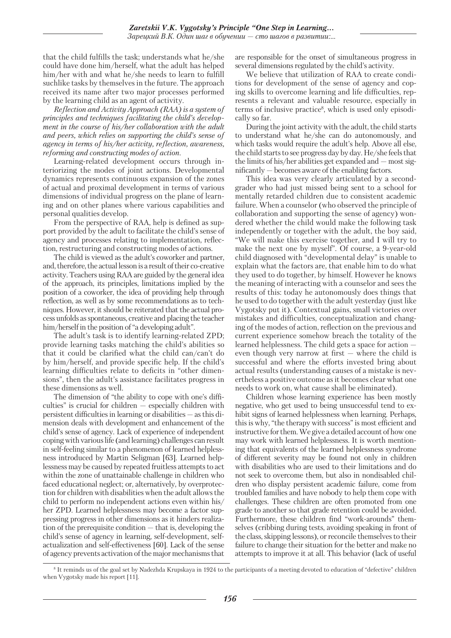that the child fulfills the task; understands what he/she could have done him/herself, what the adult has helped him/her with and what he/she needs to learn to fulfill suchlike tasks by themselves in the future. The approach received its name after two major processes performed by the learning child as an agent of activity.

*Reflection and Activity Approach (RAA) is a system of principles and techniques facilitating the child's development in the course of his/her collaboration with the adult and peers, which relies on supporting the child's sense of agency in terms of his/her activity, reflection, awareness, reforming and constructing modes of action.*

Learning-related development occurs through interiorizing the modes of joint actions. Developmental dynamics represents continuous expansion of the zones of actual and proximal development in terms of various dimensions of individual progress on the plane of learning and on other planes where various capabilities and personal qualities develop.

From the perspective of RAA, help is defined as support provided by the adult to facilitate the child's sense of agency and processes relating to implementation, reflection, restructuring and constructing modes of actions.

The child is viewed as the adult's coworker and partner, and, therefore, the actual lesson is a result of their co-creative activity. Teachers using RAA are guided by the general idea of the approach, its principles, limitations implied by the position of a coworker, the idea of providing help through reflection, as well as by some recommendations as to techniques. However, it should be reiterated that the actual process unfolds as spontaneous, creative and placing the teacher him/herself in the position of "a developing adult".

The adult's task is to identify learning-related ZPD; provide learning tasks matching the child's abilities so that it could be clarified what the child can/can't do by him/herself, and provide specific help. If the child's learning difficulties relate to deficits in "other dimensions", then the adult's assistance facilitates progress in these dimensions as well.

The dimension of "the ability to cope with one's difficulties" is crucial for children — especially children with persistent difficulties in learning or disabilities — as this dimension deals with development and enhancement of the child's sense of agency. Lack of experience of independent coping with various life (and learning) challenges can result in self-feeling similar to a phenomenon of learned helplessness introduced by Martin Seligman [63]. Learned helplessness may be caused by repeated fruitless attempts to act within the zone of unattainable challenge in children who faced educational neglect; or, alternatively, by overprotection for children with disabilities when the adult allows the child to perform no independent actions even within his/ her ZPD. Learned helplessness may become a factor suppressing progress in other dimensions as it hinders realization of the prerequisite condition — that is, developing the child's sense of agency in learning, self-development, selfactualization and self-effectiveness [60]. Lack of the sense of agency prevents activation of the major mechanisms that

are responsible for the onset of simultaneous progress in several dimensions regulated by the child's activity.

We believe that utilization of RAA to create conditions for development of the sense of agency and coping skills to overcome learning and life difficulties, represents a relevant and valuable resource, especially in terms of inclusive practice<sup>8</sup>, which is used only episodically so far.

During the joint activity with the adult, the child starts to understand what he/she can do autonomously, and which tasks would require the adult's help. Above all else, the child starts to see progress day by day. He/she feels that the limits of his/her abilities get expanded and — most significantly — becomes aware of the enabling factors.

This idea was very clearly articulated by a secondgrader who had just missed being sent to a school for mentally retarded children due to consistent academic failure. When a counselor (who observed the principle of collaboration and supporting the sense of agency) wondered whether the child would make the following task independently or together with the adult, the boy said, "We will make this exercise together, and I will try to make the next one by myself". Of course, a 9-year-old child diagnosed with "developmental delay" is unable to explain what the factors are, that enable him to do what they used to do together, by himself. However he knows the meaning of interacting with a counselor and sees the results of this: today he autonomously does things that he used to do together with the adult yesterday (just like Vygotsky put it). Contextual gains, small victories over mistakes and difficulties, conceptualization and changing of the modes of action, reflection on the previous and current experience somehow breach the totality of the learned helplessness. The child gets a space for action even though very narrow at first — where the child is successful and where the efforts invested bring about actual results (understanding causes of a mistake is nevertheless a positive outcome as it becomes clear what one needs to work on, what cause shall be eliminated).

Children whose learning experience has been mostly negative, who get used to being unsuccessful tend to exhibit signs of learned helplessness when learning. Perhaps, this is why, "the therapy with success" is most efficient and instructive for them. We give a detailed account of how one may work with learned helplessness. It is worth mentioning that equivalents of the learned helplessness syndrome of different severity may be found not only in children with disabilities who are used to their limitations and do not seek to overcome them, but also in nondisabled children who display persistent academic failure, come from troubled families and have nobody to help them cope with challenges. These children are often promoted from one grade to another so that grade retention could be avoided. Furthermore, these children find "work-arounds" themselves (cribbing during tests, avoiding speaking in front of the class, skipping lessons), or reconcile themselves to their failure to change their situation for the better and make no attempts to improve it at all. This behavior (lack of useful

<sup>&</sup>lt;sup>8</sup> It reminds us of the goal set by Nadezhda Krupskaya in 1924 to the participants of a meeting devoted to education of "defective" children when Vygotsky made his report [11].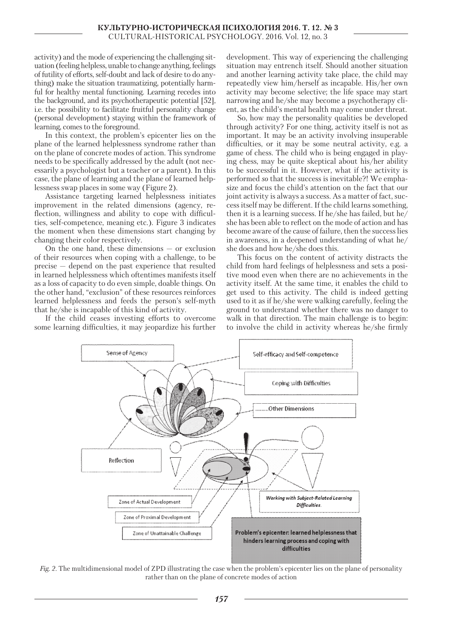activity) and the mode of experiencing the challenging situation (feeling helpless, unable to change anything, feelings of futility of efforts, self-doubt and lack of desire to do anything) make the situation traumatizing, potentially harmful for healthy mental functioning. Learning recedes into the background, and its psychotherapeutic potential [52], i.e. the possibility to facilitate fruitful personality change (personal development) staying within the framework of learning, comes to the foreground.

In this context, the problem's epicenter lies on the plane of the learned helplessness syndrome rather than on the plane of concrete modes of action. This syndrome needs to be specifically addressed by the adult (not necessarily a psychologist but a teacher or a parent). In this case, the plane of learning and the plane of learned helplessness swap places in some way (Figure 2).

Assistance targeting learned helplessness initiates improvement in the related dimensions (agency, reflection, willingness and ability to cope with difficulties, self-competence, meaning etc.). Figure 3 indicates the moment when these dimensions start changing by changing their color respectively.

On the one hand, these dimensions — or exclusion of their resources when coping with a challenge, to be precise — depend on the past experience that resulted in learned helplessness which oftentimes manifests itself as a loss of capacity to do even simple, doable things. On the other hand, "exclusion" of these resources reinforces learned helplessness and feeds the person's self-myth that he/she is incapable of this kind of activity.

If the child ceases investing efforts to overcome some learning difficulties, it may jeopardize his further development. This way of experiencing the challenging situation may entrench itself. Should another situation and another learning activity take place, the child may repeatedly view him/herself as incapable. His/her own activity may become selective; the life space may start narrowing and he/she may become a psychotherapy client, as the child's mental health may come under threat.

So, how may the personality qualities be developed through activity? For one thing, activity itself is not as important. It may be an activity involving insuperable difficulties, or it may be some neutral activity, e.g. a game of chess. The child who is being engaged in playing chess, may be quite skeptical about his/her ability to be successful in it. However, what if the activity is performed *so* that the success is inevitable?! We emphasize and focus the child's attention on the fact that our joint activity is always a success. As a matter of fact, success itself may be different. If the child learns something, then it is a learning success. If he/she has failed, but he/ she has been able to reflect on the mode of action and has become aware of the cause of failure, then the success lies in awareness, in a deepened understanding of what he/ she does and how he/she does this.

This focus on the content of activity distracts the child from hard feelings of helplessness and sets a positive mood even when there are no achievements in the activity itself. At the same time, it enables the child to get used to this activity. The child is indeed getting used to it as if he/she were walking carefully, feeling the ground to understand whether there was no danger to walk in that direction. The main challenge is to begin: to involve the child in activity whereas he/she firmly



*Fig. 2.* The multidimensional model of ZPD illustrating the case when the problem's epicenter lies on the plane of personality rather than on the plane of concrete modes of action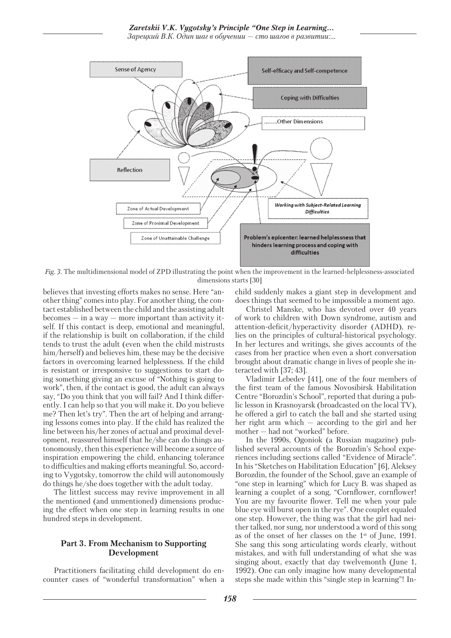

*Fig. 3.* The multidimensional model of ZPD illustrating the point when the improvement in the learned-helplessness-associated dimensions starts [30]

believes that investing efforts makes no sense. Here "another thing" comes into play. For another thing, the contact established between the child and the assisting adult  $becomes - in a way - more important than activity it$ self. If this contact is deep, emotional and meaningful, if the relationship is built on collaboration, if the child tends to trust the adult (even when the child mistrusts him/herself) and believes him, these may be the decisive factors in overcoming learned helplessness. If the child is resistant or irresponsive to suggestions to start doing something giving an excuse of "Nothing is going to work", then, if the contact is good, the adult can always say, "Do you think that you will fail? And I think differently. I can help so that you will make it. Do you believe me? Then let's try". Then the art of helping and arranging lessons comes into play. If the child has realized the line between his/her zones of actual and proximal development, reassured himself that he/she can do things autonomously, then this experience will become a source of inspiration empowering the child, enhancing tolerance to difficulties and making efforts meaningful. So, according to Vygotsky, tomorrow the child will autonomously do things he/she does together with the adult today.

The littlest success may revive improvement in all the mentioned (and unmentioned) dimensions producing the effect when one step in learning results in one hundred steps in development.

## **Part 3. From Mechanism to Supporting Development**

Practitioners facilitating child development do encounter cases of "wonderful transformation" when a child suddenly makes a giant step in development and does things that seemed to be impossible a moment ago.

Christel Manske, who has devoted over 40 years of work to children with Down syndrome, autism and attention-deficit/hyperactivity disorder (ADHD), relies on the principles of cultural-historical psychology. In her lectures and writings, she gives accounts of the cases from her practice when even a short conversation brought about dramatic change in lives of people she interacted with [37; 43].

Vladimir Lebedev [41], one of the four members of the first team of the famous Novosibirsk Habilitation Centre "Borozdin's School", reported that during a public lesson in Krasnoyarsk (broadcasted on the local TV), he offered a girl to catch the ball and she started using her right arm which — according to the girl and her mother — had not "worked" before.

In the 1990s, Ogoniok (a Russian magazine) published several accounts of the Borozdin's School experiences including sections called "Evidence of Miracle". In his "Sketches on Habilitation Education" [6], Aleksey Borozdin, the founder of the School, gave an example of "one step in learning" which for Lucy B. was shaped as learning a couplet of a song, "Cornflower, cornflower! You are my favourite flower. Tell me when your pale blue eye will burst open in the rye". One couplet equaled one step. However, the thing was that the girl had neither talked, nor sung, nor understood a word of this song as of the onset of her classes on the 1st of June, 1991. She sang this song articulating words clearly, without mistakes, and with full understanding of what she was singing about, exactly that day twelvemonth (June 1, 1992). One can only imagine how many developmental steps she made within this "single step in learning"! In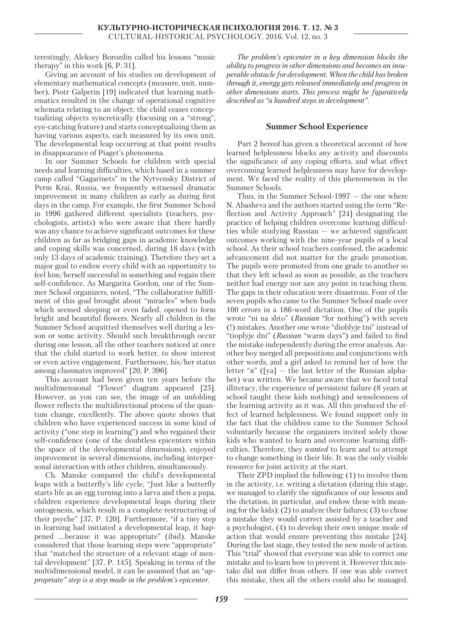terestingly, Aleksey Borozdin called his lessons "music therapy" in this work [6, P. 31].

Giving an account of his studies on development of elementary mathematical concepts (measure, unit, number), Piotr Galperin [19] indicated that learning mathematics resulted in the change of operational cognitive schemata relating to an object: the child ceases conceptualizing objects syncretically (focusing on a "strong", eye-catching feature) and starts conceptualizing them as having various aspects, each measured by its own unit. The developmental leap occurring at that point results in disappearance of Piaget's phenomena.

In our Summer Schools for children with special needs and learning difficulties, which based in a summer camp called "Gagarinets" in the Nytvensky District of Perm Krai, Russia, we frequently witnessed dramatic improvement in many children as early as during first days in the camp. For example, the first Summer School in 1996 gathered different specialists (teachers, psychologists, artists) who were aware that there hardly was any chance to achieve significant outcomes for these children as far as bridging gaps in academic knowledge and coping skills was concerned, during 18 days (with only 13 days of academic training). Therefore they set a major goal to endow every child with an opportunity to feel him/herself successful in something and regain their self-confidence. As Margarita Gordon, one of the Summer School organizers, noted, "The collaborative fulfillment of this goal brought about "miracles" when buds which seemed sleeping or even faded, opened to form bright and beautiful flowers. Nearly all children in the Summer School acquitted themselves well during a lesson or some activity. Should such breakthrough occur during one lesson, all the other teachers noticed at once that the child started to work better, to show interest or even active engagement. Furthermore, his/her status among classmates improved" [20, P. 396].

This account had been given ten years before the multidimensional "Flower" diagram appeared [25]. However, as you can see, the image of an unfolding flower reflects the multidirectional process of the quantum change, excellently. The above quote shows that children who have experienced success in some kind of activity ("one step in learning") and who regained their self-confidence (one of the doubtless epicenters within the space of the developmental dimensions), enjoyed improvement in several dimensions, including interpersonal interaction with other children, simultaneously.

Ch. Manske compared the child's developmental leaps with a butterfly's life cycle, "Just like a butterfly starts life as an egg turning into a larva and then a pupa, children experience developmental leaps during their ontogenesis, which result in a complete restructuring of their psyche" [37, P. 120]. Furthermore, "if a tiny step in learning had initiated a developmental leap, it happened ….because it was appropriate" (ibid). Manske considered that those learning steps were "appropriate" that "matched the structure of a relevant stage of mental development" [37, P. 145]. Speaking in terms of the multidimensional model, it can be assumed that an "*appropriate" step is a step made in the problem's epicenter.*

*The problem's epicenter in a key dimension blocks the ability to progress in other dimensions and becomes an insuperable obstacle for development. When the child has broken through it, energy gets released immediately and progress in other dimensions starts. This process might be figuratively described as "a hundred steps in development".*

## **Summer School Experience**

Part 2 hereof has given a theoretical account of how learned helplessness blocks any activity and discounts the significance of any coping efforts, and what effect overcoming learned helplessness may have for development. We faced the reality of this phenomenon in the Summer Schools.

Thus, in the Summer School-1997 — the one where N. Abasheva and the authors started using the term "Reflection and Activity Approach" [24] designating the practice of helping children overcome learning difficulties while studying Russian  $-$  we achieved significant outcomes working with the nine-year pupils of a local school. As their school teachers confessed, the academic advancement did not matter for the grade promotion. The pupils were promoted from one grade to another so that they left school as soon as possible, as the teachers neither had energy nor saw any point in teaching them. The gaps in their education were disastrous. Four of the seven pupils who came to the Summer School made over 100 errors in a 186-word dictation. One of the pupils wrote "ni na shto" (*Russian* "for nothing") with seven (!) mistakes. Another one wrote "dioblyje tni" instead of "tioplyje dni" (*Russian* "warm days") and failed to find the mistake independently during the error analysis. Another boy merged all prepositions and conjunctions with other words, and a girl asked to remind her of how the letter "я" ([ya]  $-$  the last letter of the Russian alphabet) was written. We became aware that we faced total illiteracy, the experience of persistent failure (8 years at school taught these kids nothing) and senselessness of the learning activity as it was. All this produced the effect of learned helplessness. We found support only in the fact that the children came to the Summer School voluntarily because the organizers invited solely those kids who wanted to learn and overcome learning difficulties. Therefore, they *wanted* to learn and to attempt to change something in their life. It was the only visible resource for joint activity at the start.

Their ZPD implied the following: (1) to involve them in the activity, i.e. writing a dictation (during this stage, we managed to clarify the significance of our lessons and the dictation, in particular, and endow these with meaning for the kids); (2) to analyze their failures; (3) to chose a mistake they would correct assisted by a teacher and a psychologist, (4) to develop their own unique mode of action that would ensure preventing this mistake [24]. During the last stage, they tested the new mode of action. This "trial" showed that everyone was able to correct one mistake and to learn how to prevent it. However this mistake did not differ from others. If one was able correct this mistake, then all the others could also be managed.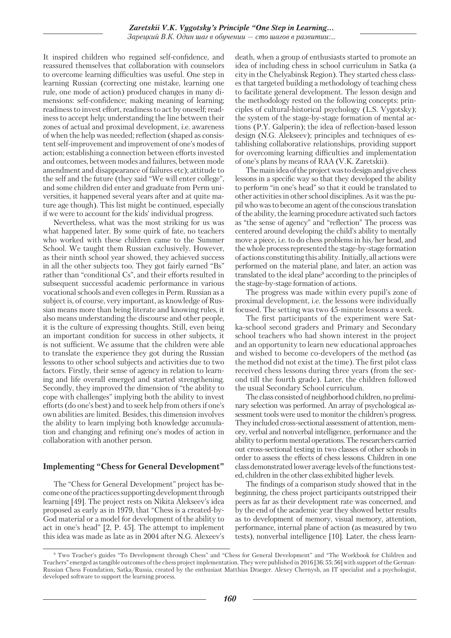It inspired children who regained self-confidence, and reassured themselves that collaboration with counselors to overcome learning difficulties was useful. One step in learning Russian (correcting one mistake, learning one rule, one mode of action) produced changes in many dimensions: self-confidence; making meaning of learning; readiness to invest effort, readiness to act by oneself; readiness to accept help; understanding the line between their zones of actual and proximal development, i.e. awareness of when the help was needed; reflection (shaped as consistent self-improvement and improvement of one's modes of action; establishing a connection between efforts invested and outcomes, between modes and failures, between mode amendment and disappearance of failures etc); attitude to the self and the future (they said "We will enter college", and some children did enter and graduate from Perm universities, it happened several years after and at quite mature age though). This list might be continued, especially if we were to account for the kids' individual progress.

Nevertheless, what was the most striking for us was what happened later. By some quirk of fate, no teachers who worked with these children came to the Summer School. We taught them Russian exclusively. However, as their ninth school year showed, they achieved success in all the other subjects too. They got fairly earned "Bs" rather than "conditional Cs", and their efforts resulted in subsequent successful academic performance in various vocational schools and even colleges in Perm. Russian as a subject is, of course, very important, as knowledge of Russian means more than being literate and knowing rules, it also means understanding the discourse and other people, it is the culture of expressing thoughts. Still, even being an important condition for success in other subjects, it is not sufficient. We assume that the children were able to translate the experience they got during the Russian lessons to other school subjects and activities due to two factors. Firstly, their sense of agency in relation to learning and life overall emerged and started strengthening. Secondly, they improved the dimension of "the ability to cope with challenges" implying both the ability to invest efforts (do one's best) and to seek help from others if one's own abilities are limited. Besides, this dimension involves the ability to learn implying both knowledge accumulation and changing and refining one's modes of action in collaboration with another person.

# **Implementing "Chess for General Development"**

The "Chess for General Development" project has become one of the practices supporting development through learning [49]. The project rests on Nikita Alekseev's idea proposed as early as in 1979, that "Chess is a created-by-God material or a model for development of the ability to act in one's head" [2, P. 45]. The attempt to implement this idea was made as late as in 2004 after N.G. Alexeev's death, when a group of enthusiasts started to promote an idea of including chess in school curriculum in Satka (a city in the Chelyabinsk Region). They started chess classes that targeted building a methodology of teaching chess to facilitate general development. The lesson design and the methodology rested on the following concepts: principles of cultural-historical psychology (L.S. Vygotsky); the system of the stage-by-stage formation of mental actions (P.Y. Galperin); the idea of reflection-based lesson design (N.G. Alekseev); principles and techniques of establishing collaborative relationships, providing support for overcoming learning difficulties and implementation of one's plans by means of RAA (V.K. Zaretskii).

The main idea of the project was to design and give chess lessons in a specific way so that they developed the ability to perform "in one's head" so that it could be translated to other activities in other school disciplines. As it was the pupil who was to become an agent of the conscious translation of the ability, the learning procedure activated such factors as "the sense of agency" and "reflection" The process was centered around developing the child's ability to mentally move a piece, i.e. to do chess problems in his/her head, and the whole process represented the stage-by-stage formation of actions constituting this ability. Initially, all actions were performed on the material plane, and later, an action was translated to the ideal plane<sup>9</sup> according to the principles of the stage-by-stage formation of actions.

The progress was made within every pupil's zone of proximal development, i.e. the lessons were individually focused. The setting was two 45-minute lessons a week.

The first participants of the experiment were Satka-school second graders and Primary and Secondary school teachers who had shown interest in the project and an opportunity to learn new educational approaches and wished to become co-developers of the method (as the method did not exist at the time). The first pilot class received chess lessons during three years (from the second till the fourth grade). Later, the children followed the usual Secondary School curriculum.

The class consisted of neighborhood children, no preliminary selection was performed. An array of psychological assessment tools were used to monitor the children's progress. They included cross-sectional assessment of attention, memory, verbal and nonverbal intelligence, performance and the ability to perform mental operations. The researchers carried out cross-sectional testing in two classes of other schools in order to assess the effects of chess lessons. Children in one class demonstrated lower average levels of the functions tested, children in the other class exhibited higher levels.

The findings of a comparison study showed that in the beginning, the chess project participants outstripped their peers as far as their development rate was concerned, and by the end of the academic year they showed better results as to development of memory, visual memory, attention, performance, internal plane of action (as measured by two tests), nonverbal intelligence [10]. Later, the chess learn-

<sup>9</sup> Two Teacher's guides "To Development through Chess" and "Chess for General Development" and "The Workbook for Children and Teachers" emerged as tangible outcomes of the chess project implementation. They were published in 2016 [36; 55; 56] with support of the German-Russian Chess Foundation, Satka/Russia, created by the enthusiast Matthias Draeger. Alexey Chernysh, an IT specialist and a psychologist, developed software to support the learning process.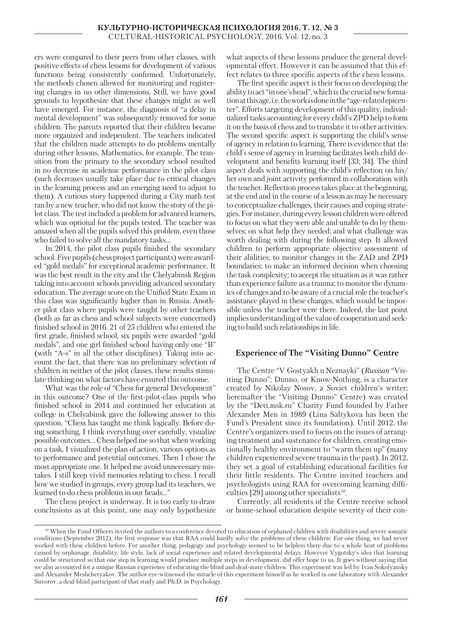ers were compared to their peers from other classes, with positive effects of chess lessons for development of various functions being consistently confirmed. Unfortunately, the methods chosen allowed for monitoring and registering changes in no other dimensions. Still, we have good grounds to hypothesize that these changes might as well have emerged. For instance, the diagnosis of "a delay in mental development" was subsequently removed for some children. The parents reported that their children became more organized and independent. The teachers indicated that the children made attempts to do problems mentally during other lessons, Mathematics, for example. The transition from the primary to the secondary school resulted in no decrease in academic performance in the pilot class (such decreases usually take place due to critical changes in the learning process and an emerging need to adjust to them). A curious story happened during a City math test ran by a new teacher, who did not know the story of the pilot class. The test included a problem for advanced learners, which was optional for the pupils tested. The teacher was amazed when all the pupils solved this problem, even those who failed to solve all the mandatory tasks…

In 2014, the pilot class pupils finished the secondary school. Five pupils (chess project participants) were awarded "gold medals" for exceptional academic performance. It was the best result in the city and the Chelyabinsk Region taking into account schools providing advanced secondary education. The average score on the Unified State Exam in this class was significantly higher than in Russia. Another pilot class where pupils were taught by other teachers (both as far as chess and school subjects were concerned) finished school in 2016. 21 of 25 children who entered the first grade, finished school, six pupils were awarded "gold medals", and one girl finished school having only one "B" (with "A-s" in all the other disciplines). Taking into account the fact, that there was no preliminary selection of children in neither of the pilot classes, these results stimulate thinking on what factors have ensured this outcome.

What was the role of "Chess for general Development" in this outcome? One of the first-pilot-class pupils who finished school in 2014 and continued her education at college in Chelyabinsk gave the following answer to this question, "Chess has taught me think logically. Before doing something, I think everything over carefully, visualize possible outcomes… Chess helped me so that when working on a task, I visualized the plan of action, various options as to performance and potential outcomes. Then I chose the most appropriate one. It helped me avoid unnecessary mistakes. I still keep vivid memories relating to chess. I recall how we studied in groups, every group had its teachers, we learned to do chess problems in our heads…"

The chess project is underway. It is too early to draw conclusions as at this point, one may only hypothesize

what aspects of these lessons produce the general developmental effect. However it can be assumed that this effect relates to three specific aspects of the chess lessons.

The first specific aspect is their focus on developing the ability to act "in one's head", which is the crucial new formation at this age, i.e. the work is done in the "age-related epicenter". Efforts targeting development of this quality, individualized tasks accounting for every child's ZPD help to form it on the basis of chess and to translate it to other activities. The second specific aspect is supporting the child's sense of agency in relation to learning. There is evidence that the child's sense of agency in learning facilitates both child development and benefits learning itself [33; 34]. The third aspect deals with supporting the child's reflection on his/ her own and joint activity performed in collaboration with the teacher. Reflection process takes place at the beginning, at the end and in the course of a lesson as may be necessary to conceptualize challenges, their causes and coping strategies. For instance, during every lesson children were offered to focus on what they were able and unable to do by themselves; on what help they needed; and what challenge was worth dealing with during the following step. It allowed children to perform appropriate objective assessment of their abilities; to monitor changes in the ZAD and ZPD boundaries; to make an informed decision when choosing the task complexity; to accept the situation as it was rather than experience failure as a trauma; to monitor the dynamics of changes and to be aware of a crucial role the teacher's assistance played in these changes, which would be impossible unless the teacher were there. Indeed, the last point implies understanding of the value of cooperation and seeking to build such relationships in life.

#### **Experience of The "Visiting Dunno" Centre**

The Centre "V Gostyakh u Neznayki" (*Russian* "Visiting Dunno"; Dunno, or Know-Nothing, is a character created by Nikolay Nosov, a Soviet children's writer; hereinafter the "Visiting Dunno" Centre) was created by the "Deti.msk.ru" Charity Fund founded by Father Alexander Men in 1989 (Lina Saltykova has been the Fund's President since its foundation). Until 2012, the Centre's organizers used to focus on the issues of arranging treatment and sustenance for children, creating emotionally healthy environment to "warm them up" (many children experienced severe trauma in the past). In 2012, they set a goal of establishing educational facilities for their little residents. The Centre invited teachers and psychologists using RAA for overcoming learning difficulties [29] among other specialists<sup>10</sup>.

Currently, all residents of the Centre receive school or home-school education despite severity of their con-

<sup>10</sup> When the Fund Officers invited the authors to a conference devoted to education of orphaned children with disabilities and severe somatic conditions (September 2012), the first response was that RAA could hardly solve the problems of these children. For one thing, we had never worked with these children before. For another thing, pedagogy and psychology seemed to be helpless there due to a whole host of problems caused by orphanage, disability, life style, lack of social experience and related developmental delays. However Vygotsky's idea that learning could be structured so that one step in learning would produce multiple steps in development, did offer hope to us. It goes without saying that we also accounted for a unique Russian experience of educating the blind and deaf-mute children. This experiment was led by Ivan Sokolyansky and Alexander Meshcheryakov. The author eye-witnessed the miracle of this experiment himself as he worked in one laboratory with Alexander Suvorov, a deaf-blind participant of that study and Ph.D. in Psychology.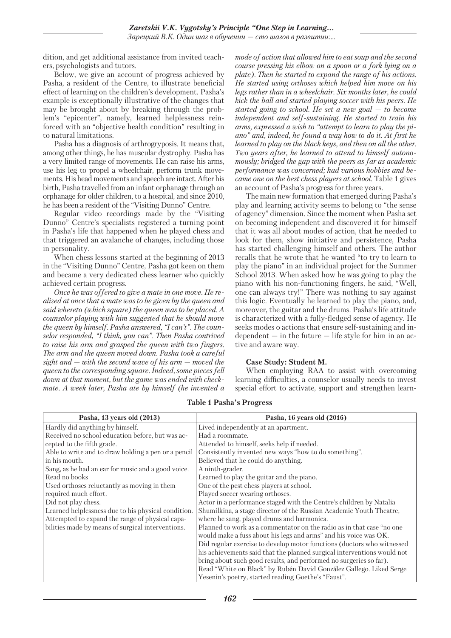dition, and get additional assistance from invited teachers, psychologists and tutors.

Below, we give an account of progress achieved by Pasha, a resident of the Centre, to illustrate beneficial effect of learning on the children's development. Pasha's example is exceptionally illustrative of the changes that may be brought about by breaking through the problem's "epicenter", namely, learned helplessness reinforced with an "objective health condition" resulting in to natural limitations.

Pasha has a diagnosis of arthrogryposis. It means that, among other things, he has muscular dystrophy. Pasha has a very limited range of movements. He can raise his arms, use his leg to propel a wheelchair, perform trunk movements. His head movements and speech are intact. After his birth, Pasha travelled from an infant orphanage through an orphanage for older children, to a hospital, and since 2010, he has been a resident of the "Visiting Dunno" Centre.

Regular video recordings made by the "Visiting Dunno" Centre's specialists registered a turning point in Pasha's life that happened when he played chess and that triggered an avalanche of changes, including those in personality.

When chess lessons started at the beginning of 2013 in the "Visiting Dunno" Centre, Pasha got keen on them and became a very dedicated chess learner who quickly achieved certain progress.

*Once he was offered to give a mate in one move. He realized at once that a mate was to be given by the queen and said whereto (which square) the queen was to be placed. A counselor playing with him suggested that he should move the queen by himself. Pasha answered, "I can't". The counselor responded, "I think, you can". Then Pasha contrived to raise his arm and grasped the queen with two fingers. The arm and the queen moved down. Pasha took a careful sight and — with the second wave of his arm — moved the queen to the corresponding square. Indeed, some pieces fell down at that moment, but the game was ended with checkmate. A week later, Pasha ate by himself (he invented a*  *mode of action that allowed him to eat soup and the second course pressing his elbow on a spoon or a fork lying on a plate). Then he started to expand the range of his actions. He started using orthoses which helped him move on his legs rather than in a wheelchair. Six months later, he could kick the ball and started playing soccer with his peers. He started going to school. He set a new goal — to become independent and self-sustaining. He started to train his arms, expressed a wish to "attempt to learn to play the piano" and, indeed, he found a way how to do it. At first he learned to play on the black keys, and then on all the other. Two years after, he learned to attend to himself autonomously; bridged the gap with the peers as far as academic performance was concerned; had various hobbies and became one on the best chess players at school.* Table 1 gives an account of Pasha's progress for three years.

The main new formation that emerged during Pasha's play and learning activity seems to belong to "the sense of agency" dimension. Since the moment when Pasha set on becoming independent and discovered it for himself that it was all about modes of action, that he needed to look for them, show initiative and persistence, Pasha has started challenging himself and others. The author recalls that he wrote that he wanted "to try to learn to play the piano" in an individual project for the Summer School 2013. When asked how he was going to play the piano with his non-functioning fingers, he said, "Well, one can always try!" There was nothing to say against this logic. Eventually he learned to play the piano, and, moreover, the guitar and the drums. Pasha's life attitude is characterized with a fully-fledged sense of agency. He seeks modes o actions that ensure self-sustaining and independent  $-$  in the future  $-$  life style for him in an active and aware way.

## **Case Study: Student M.**

When employing RAA to assist with overcoming learning difficulties, a counselor usually needs to invest special effort to activate, support and strengthen learn-

| Pasha, 13 years old (2013)                          | Pasha, 16 years old (2016)                                              |
|-----------------------------------------------------|-------------------------------------------------------------------------|
| Hardly did anything by himself.                     | Lived independently at an apartment.                                    |
| Received no school education before, but was ac-    | Had a roommate.                                                         |
| cepted to the fifth grade.                          | Attended to himself, seeks help if needed.                              |
| Able to write and to draw holding a pen or a pencil | Consistently invented new ways "how to do something".                   |
| in his mouth.                                       | Believed that he could do anything.                                     |
| Sang, as he had an ear for music and a good voice.  | A ninth-grader.                                                         |
| Read no books                                       | Learned to play the guitar and the piano.                               |
| Used orthoses reluctantly as moving in them         | One of the pest chess players at school.                                |
| required much effort.                               | Played soccer wearing orthoses.                                         |
| Did not play chess.                                 | Actor in a performance staged with the Centre's children by Natalia     |
| Learned helplessness due to his physical condition. | Shumilkina, a stage director of the Russian Academic Youth Theatre,     |
| Attempted to expand the range of physical capa-     | where he sang, played drums and harmonica.                              |
| bilities made by means of surgical interventions.   | Planned to work as a commentator on the radio as in that case "no one"  |
|                                                     | would make a fuss about his legs and arms" and his voice was OK.        |
|                                                     | Did regular exercise to develop motor functions (doctors who witnessed  |
|                                                     | his achievements said that the planned surgical interventions would not |
|                                                     | bring about such good results, and performed no surgeries so far).      |
|                                                     | Read "White on Black" by Rubén David González Gallego. Liked Serge      |
|                                                     | Yesenin's poetry, started reading Goethe's "Faust".                     |

**Table 1 Pasha's Progress**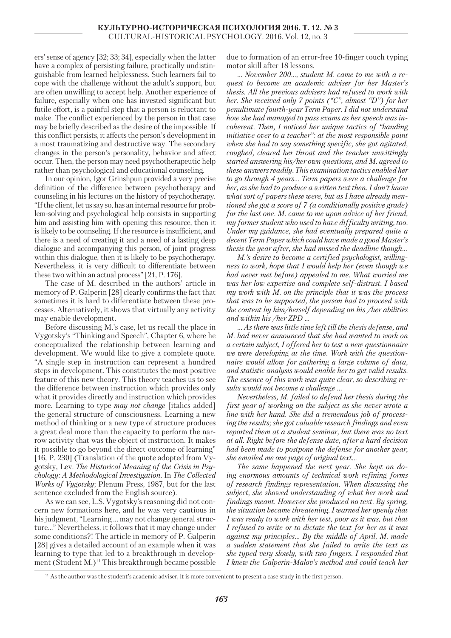ers' sense of agency [32; 33; 34], especially when the latter have a complex of persisting failure, practically undistinguishable from learned helplessness. Such learners fail to cope with the challenge without the adult's support, but are often unwilling to accept help. Another experience of failure, especially when one has invested significant but futile effort, is a painful step that a person is reluctant to make. The conflict experienced by the person in that case may be briefly described as the desire of the impossible. If this conflict persists, it affects the person's development in a most traumatizing and destructive way. The secondary changes in the person's personality, behavior and affect occur. Then, the person may need psychotherapeutic help rather than psychological and educational counseling.

In our opinion, Igor Grinshpun provided a very precise definition of the difference between psychotherapy and counseling in his lectures on the history of psychotherapy. "If the client, let us say so, has an internal resource for problem-solving and psychological help consists in supporting him and assisting him with opening this resource, then it is likely to be counseling. If the resource is insufficient, and there is a need of creating it and a need of a lasting deep dialogue and accompanying this person, of joint progress within this dialogue, then it is likely to be psychotherapy. Nevertheless, it is very difficult to differentiate between these two within an actual process" [21, P. 176].

The case of М. described in the authors' article in memory of P. Galperin [28] clearly confirms the fact that sometimes it is hard to differentiate between these processes. Alternatively, it shows that virtually any activity may enable development.

Before discussing М.'s case, let us recall the place in Vygotsky's "Thinking and Speech", Chapter 6, where he conceptualized the relationship between learning and development. We would like to give a complete quote. "A single step in instruction can represent a hundred steps in development. This constitutes the most positive feature of this new theory. This theory teaches us to see the difference between instruction which provides only what it provides directly and instruction which provides more. Learning to type *may not change* [italics added] the general structure of consciousness. Learning a new method of thinking or a new type of structure produces a great deal more than the capacity to perform the narrow activity that was the object of instruction. It makes it possible to go beyond the direct outcome of learning" [16, P. 230] (Translation of the quote adopted from Vygotsky, Lev. *The Historical Meaning of the Crisis in Psychology: A Methodological Investigation.* In *The Collected Works of Vygotsky*; Plenum Press, 1987, but for the last sentence excluded from the English source).

As we can see, L.S. Vygotsky's reasoning did not concern new formations here, and he was very cautious in his judgment, "Learning … may not change general structure…" Nevertheless, it follows that it may change under some conditions?! The article in memory of P. Galperin [28] gives a detailed account of an example when it was learning to type that led to a breakthrough in development (Student M.)<sup>11</sup> This breakthrough became possible due to formation of an error-free 10-finger touch typing motor skill after 18 lessons.

*… November 200…, student M. came to me with a request to become an academic adviser for her Master's thesis. All the previous advisers had refused to work with her. She received only 7 points ("C", almost "D") for her penultimate fourth-year Term Paper. I did not understand how she had managed to pass exams as her speech was incoherent. Then, I noticed her unique tactics of "handing initiative over to a teacher": at the most responsible point when she had to say something specific, she got agitated, coughed, cleared her throat and the teacher unwittingly started answering his/her own questions, and M. agreed to these answers readily. This examination tactics enabled her to go through 4 years… Term papers were a challenge for her, as she had to produce a written text then. I don't know what sort of papers these were, but as I have already mentioned she got a score of 7 (a conditionally positive grade) for the last one. M. came to me upon advice of her friend, my former student who used to have difficulty writing, too. Under my guidance, she had eventually prepared quite a decent Term Paper which could have made a good Master's thesis the year after, she had missed the deadline though…*

*M.'s desire to become a certified psychologist, willingness to work, hope that I would help her (even though we had never met before) appealed to me. What worried me was her low expertise and complete self-distrust. I based my work with М. on the principle that it was the process that was to be supported, the person had to proceed with the content by him/herself depending on his /her abilities and within his /her ZPD …*

*… As there was little time left till the thesis defense, and M. had never announced that she had wanted to work on a certain subject, I offered her to test a new questionnaire we were developing at the time. Work with the questionnaire would allow for gathering a large volume of data, and statistic analysis would enable her to get valid results. The essence of this work was quite clear, so describing results would not become a challenge …*

*Nevertheless, M. failed to defend her thesis during the first year of working on the subject as she never wrote a line with her hand. She did a tremendous job of processing the results; she got valuable research findings and even reported them at a student seminar, but there was no text at all. Right before the defense date, after a hard decision had been made to postpone the defense for another year, she emailed me one page of original text…*

*The same happened the next year. She kept on doing enormous amounts of technical work refining forms of research findings representation. When discussing the subject, she showed understanding of what her work and findings meant. However she produced no text. By spring, the situation became threatening. I warned her openly that I was ready to work with her test, poor as it was, but that I refused to write or to dictate the text for her as it was against my principles… By the middle of April, М. made a sudden statement that she failed to write the text as she typed very slowly, with two fingers. I responded that I knew the Galperin-Malov's method and could teach her* 

<sup>11</sup> As the author was the student's academic adviser, it is more convenient to present a case study in the first person.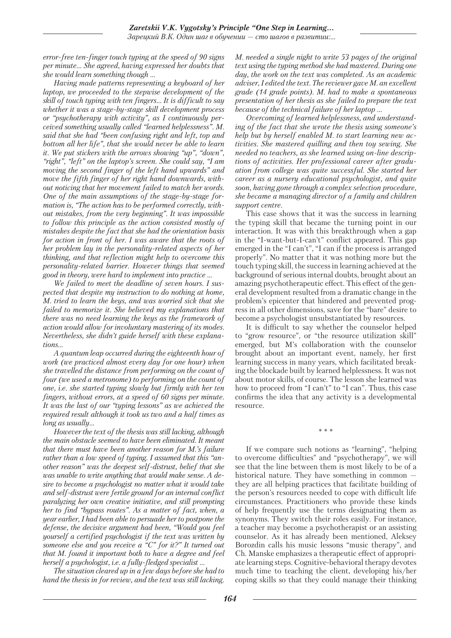*error-free ten-finger touch typing at the speed of 90 signs per minute… She agreed, having expressed her doubts that she would learn something though …*

*Having made patterns representing a keyboard of her laptop, we proceeded to the stepwise development of the skill of touch typing with ten fingers… It is difficult to say whether it was a stage-by-stage skill development process or "psychotherapy with activity", as I continuously perceived something usually called "learned helplessness". М. said that she had "been confusing right and left, top and bottom all her life", that she would never be able to learn it. We put stickers with the arrows showing "up", "down", "right", "left" on the laptop's screen. She could say, "I am moving the second finger of the left hand upwards" and move the fifth finger of her right hand downwards, without noticing that her movement failed to match her words. One of the main assumptions of the stage-by-stage formation is, "The action has to be performed correctly, without mistakes, from the very beginning". It was impossible to follow this principle as the action consisted mostly of mistakes despite the fact that she had the orientation basis for action in front of her. I was aware that the roots of her problem lay in the personality-related aspects of her thinking, and that reflection might help to overcome this personality-related barrier. However things that seemed good in theory, were hard to implement into practice …*

*We failed to meet the deadline of seven hours. I suspected that despite my instruction to do nothing at home, M. tried to learn the keys, and was worried sick that she failed to memorize it. She believed my explanations that there was no need learning the keys as the framework of action would allow for involuntary mastering of its modes. Nevertheless, she didn't guide herself with these explanations…*

*A quantum leap occurred during the eighteenth hour of work (we practiced almost every day for one hour) when she travelled the distance from performing on the count of four (we used a metronome) to performing on the count of one, i.e. she started typing slowly but firmly with her ten fingers, without errors, at a speed of 60 signs per minute. It was the last of our "typing lessons" as we achieved the required result although it took us two and a half times as long as usually…*

*However the text of the thesis was still lacking, although the main obstacle seemed to have been eliminated. It meant that there must have been another reason for M.'s failure rather than a low speed of typing. I assumed that this "another reason" was the deepest self-distrust, belief that she was unable to write anything that would make sense. A desire to become a psychologist no matter what it would take and self-distrust were fertile ground for an internal conflict paralyzing her own creative initiative, and still prompting her to find "bypass routes". As a matter of fact, when, a year earlier, I had been able to persuade her to postpone the defense, the decisive argument had been, "Would you feel yourself a certified psychologist if the text was written by someone else and you receive a "C" for it?" It turned out that M. found it important both to have a degree and feel herself a psychologist, i.e. a fully-fledged specialist …*

*The situation cleared up in a few days before she had to hand the thesis in for review, and the text was still lacking.*  *M. needed a single night to write 53 pages of the original text using the typing method she had mastered. During one day, the work on the text was completed. As an academic adviser, I edited the text. The reviewer gave M. an excellent grade (14 grade points). M. had to make a spontaneous presentation of her thesis as she failed to prepare the text because of the technical failure of her laptop …*

*Overcoming of learned helplessness, and understanding of the fact that she wrote the thesis using someone's help but by herself enabled M. to start learning new activities. She mastered quilling and then toy sewing. She needed no teachers, as she learned using on-line descriptions of activities. Her professional career after graduation from college was quite successful. She started her career as a nursery educational psychologist, and quite soon, having gone through a complex selection procedure, she became a managing director of a family and children support centre.*

This case shows that it was the success in learning the typing skill that became the turning point in our interaction. It was with this breakthrough when a gap in the "I-want-but-I-can't" conflict appeared. This gap emerged in the "I can't", "I can if the process is arranged properly". No matter that it was nothing more but the touch typing skill, the success in learning achieved at the background of serious internal doubts, brought about an amazing psychotherapeutic effect. This effect of the general development resulted from a dramatic change in the problem's epicenter that hindered and prevented progress in all other dimensions, save for the "bare" desire to become a psychologist unsubstantiated by resources.

It is difficult to say whether the counselor helped to "grow resource", or "the resource utilization skill" emerged, but M's collaboration with the counselor brought about an important event, namely, her first learning success in many years, which facilitated breaking the blockade built by learned helplessness. It was not about motor skills, of course. The lesson she learned was how to proceed from "I can't" to "I can". Thus, this case confirms the idea that any activity is a developmental resource.

\* \* \*

If we compare such notions as "learning", "helping to overcome difficulties" and "psychotherapy", we will see that the line between them is most likely to be of a historical nature. They have something in common they are all helping practices that facilitate building of the person's resources needed to cope with difficult life circumstances. Practitioners who provide these kinds of help frequently use the terms designating them as synonyms. They switch their roles easily. For instance, a teacher may become a psychotherapist or an assisting counselor. As it has already been mentioned, Aleksey Borozdin calls his music lessons "music therapy", and Ch. Manske emphasizes a therapeutic effect of appropriate learning steps. Cognitive-behavioral therapy devotes much time to teaching the client, developing his/her coping skills so that they could manage their thinking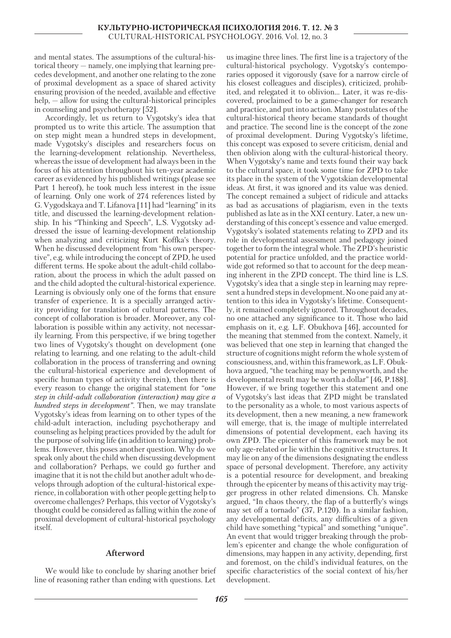and mental states. The assumptions of the cultural-historical theory — namely, one implying that learning precedes development, and another one relating to the zone of proximal development as a space of shared activity ensuring provision of the needed, available and effective help, — allow for using the cultural-historical principles in counseling and psychotherapy [52].

Accordingly, let us return to Vygotsky's idea that prompted us to write this article. The assumption that on step might mean a hundred steps in development, made Vygotsky's disciples and researchers focus on the learning-development relationship. Nevertheless, whereas the issue of development had always been in the focus of his attention throughout his ten-year academic career as evidenced by his published writings (please see Part 1 hereof), he took much less interest in the issue of learning. Only one work of 274 references listed by G. Vygodskaya and T. Lifanova [11] had "learning" in its title, and discussed the learning-development relationship. In his "Thinking and Speech", L.S. Vygotsky addressed the issue of learning-development relationship when analyzing and criticizing Kurt Koffka's theory. When he discussed development from "his own perspective", e.g. while introducing the concept of ZPD, he used different terms. He spoke about the adult-child collaboration, about the process in which the adult passed on and the child adopted the cultural-historical experience. Learning is obviously only one of the forms that ensure transfer of experience. It is a specially arranged activity providing for translation of cultural patterns. The concept of collaboration is broader. Moreover, any collaboration is possible within any activity, not necessarily learning. From this perspective, if we bring together two lines of Vygotsky's thought on development (one relating to learning, and one relating to the adult-child collaboration in the process of transferring and owning the cultural-historical experience and development of specific human types of activity therein), then there is every reason to change the original statement for "*one step in child-adult collaboration (interaction) may give a hundred steps in development".* Then, we may translate Vygotsky's ideas from learning on to other types of the child-adult interaction, including psychotherapy and counseling as helping practices provided by the adult for the purpose of solving life (in addition to learning) problems. However, this poses another question. Why do we speak only about the child when discussing development and collaboration? Perhaps, we could go further and imagine that it is not the child but another adult who develops through adoption of the cultural-historical experience, in collaboration with other people getting help to overcome challenges? Perhaps, this vector of Vygotsky's thought could be considered as falling within the zone of proximal development of cultural-historical psychology itself.

## **Afterword**

We would like to conclude by sharing another brief line of reasoning rather than ending with questions. Let

us imagine three lines. The first line is a trajectory of the cultural-historical psychology. Vygotsky's contemporaries opposed it vigorously (save for a narrow circle of his closest colleagues and disciples), criticized, prohibited, and relegated it to oblivion… Later, it was re-discovered, proclaimed to be a game-changer for research and practice, and put into action. Many postulates of the cultural-historical theory became standards of thought and practice. The second line is the concept of the zone of proximal development. During Vygotsky's lifetime, this concept was exposed to severe criticism, denial and then oblivion along with the cultural-historical theory. When Vygotsky's name and texts found their way back to the cultural space, it took some time for ZPD to take its place in the system of the Vygotskian developmental ideas. At first, it was ignored and its value was denied. The concept remained a subject of ridicule and attacks as bad as accusations of plagiarism, even in the texts published as late as in the ХХI century. Later, a new understanding of this concept's essence and value emerged. Vygotsky's isolated statements relating to ZPD and its role in developmental assessment and pedagogy joined together to form the integral whole. The ZPD's heuristic potential for practice unfolded, and the practice worldwide got reformed so that to account for the deep meaning inherent in the ZPD concept. The third line is L.S. Vygotsky's idea that a single step in learning may represent a hundred steps in development. No one paid any attention to this idea in Vygotsky's lifetime. Consequently, it remained completely ignored. Throughout decades, no one attached any significance to it. Those who laid emphasis on it, e.g. L.F. Obukhova [46], accounted for the meaning that stemmed from the context. Namely, it was believed that one step in learning that changed the structure of cognitions might reform the whole system of consciousness, and, within this framework, as L.F. Obukhova argued, "the teaching may be pennyworth, and the developmental result may be worth a dollar" [46, P.188]. However, if we bring together this statement and one of Vygotsky's last ideas that ZPD might be translated to the personality as a whole, to most various aspects of its development, then a new meaning, a new framework will emerge, that is, the image of multiple interrelated dimensions of potential development, each having its own ZPD. The epicenter of this framework may be not only age-related or lie within the cognitive structures. It may lie on any of the dimensions designating the endless space of personal development. Therefore, any activity is a potential resource for development, and breaking through the epicenter by means of this activity may trigger progress in other related dimensions. Ch. Manske argued, "In chaos theory, the flap of a butterfly's wings may set off a tornado" (37, P.120). In a similar fashion, any developmental deficits, any difficulties of a given child have something "typical" and something "unique". An event that would trigger breaking through the problem's epicenter and change the whole configuration of dimensions, may happen in any activity, depending, first and foremost, on the child's individual features, on the specific characteristics of the social context of his/her development.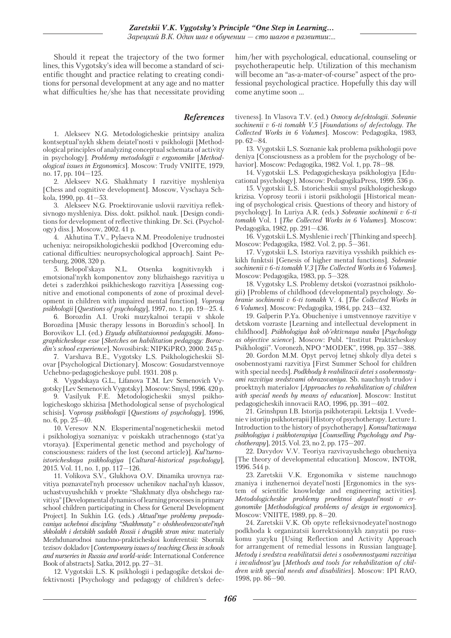Should it repeat the trajectory of the two former lines, this Vygotsky's idea will become a standard of scientific thought and practice relating to creating conditions for personal development at any age and no matter what difficulties he/she has that necessitate providing

## *References*

1. Alekseev N.G. Metodologicheskie printsipy analiza kontseptual'nykh skhem deiatel'nosti v psikhologii [Methodological principles of analyzing conceptual schemata of activity in psychology]. *Problemy metodologii v ergonomike* [*Methodological issues in Ergonomics*]. Moscow: Trudy VNIITE, 1979, no. 17, pp. 104—125.

2. Alekseev N.G. Shakhmaty I razvitiye myshleniya [Chess and cognitive development]. Moscow, Vyschaya Schkola, 1990, pp. 41—53.

3. Alekseev N.G. Proektirovanie uslovii razvitiya refleksivnogo myshleniya. Diss. dokt. psikhol. nauk. [Design conditions for development of reflective thinking. Dr. Sci. (Psychology) diss.]. Moscow, 2002. 41 p.

4. Akhutina T.V., Pylaeva N.M. Preodoleniye trudnostei ucheniya: neiropsikhologicheskii podkhod [Overcoming educational difficulties: neuropsychological approach]. Saint Petersburg, 2008, 320 p.

5. Belopol'skaya N.L. Otsenka kognitivnykh i emotsional'nykh komponentov zony blizhaishego razvitiya u detei s zaderzhkoi psikhicheskogo razvitiya [Assessing cognitive and emotional components of zone of proximal development in children with impaired mental function]. *Voprosy psikhologii* [*Questions of psychology*], 1997, no. 1, pp. 19—25. 4.

6. Borozdin A.I. Uroki muzykalnoi terapii v shkole Borozdina [Music therapy lessons in Borozdin's school]. In Borovikov L.I. (ed.) *Etyudy abilitatsionnoi pedagogiki. Monographicheskoye esse* [*Sketches on habilitation pedagogy: Borozdin's school experience*]. Novosibirsk: NIPKiPRO, 2000. 245 p.

7. Varshava B.E., Vygotsky L.S. Psikhologicheskii Slovar [Psychological Dictionary]. Moscow: Gosudarstvennoye Uchebno-pedagogicheskoye publ. 1931. 208 p.

8. Vygodskaya G.L., Lifanova T.M. Lev Semenovich Vygotsky [Lev Semenovich Vygotsky]. Moscow: Smysl, 1996. 420 p.

9. Vasilyuk F.E. Metodologicheskii smysl psikhologicheskogo skhizisa [Methodological sense of psychological schisis]. V*oprosy psikhologii* [*Questions of psychology*], 1996, no. 6, pp. 25—40.

10. Veresov N.N. Eksperimental'nogeneticheskii metod i psikhologiya soznaniya: v poiskakh utrachennogo (stat'ya vtoraya). [Experimental genetic method and psychology of consciousness: raiders of the lost (second article)]. *Kul'turnoistoricheskaya psikhologiya* [*Сultural-historical psychology*], 2015. Vol. 11, no. 1, pp. 117—126.

11. Volikova S.V., Glukhova О.V. Dinamika urovnya razvitiya poznavatel'nyh processov uchenikov nachal'nyh klassov, uchastvuyushchikh v proekte "Shakhmaty dlya obshchego razvitiya" [Developmental dynamics of learning processes in primary school children participating in Chess for General Development Project]. In Sukhin I.G. (eds.) *Aktual'nye problemy prepodavaniya uchebnoi discipliny "Shakhmaty" v obshheobrazovatel'nyh shkolakh i detskikh sadakh Rossii i drugikh stran mira*: materialy Mezhdunarodnoi nauchno-prakticheskoi konferentsii: Sbornik tezisov dokladov [*Contemporary issues of teaching Chess in schools and nurseries in Russia and world-wide*: International Conference Book of abstracts]. Satka, 2012, pp. 27—31.

12. Vygotskii L.S. K psikhologii i pedagogike detskoi defektivnosti [Psychology and pedagogy of children's defechim/her with psychological, educational, counseling or psychotherapeutic help. Utilization of this mechanism will become an "as-a-mater-of-course" aspect of the professional psychological practice. Hopefully this day will come anytime soon …

tiveness]. In Vlasova T.V. (ed.) *Osnovy defektologii*. *Sobranie sochinenii v 6-ti tomakh V.5* [*Foundations of defectology*. *The Collected Works in 6 Volumes*]. Moscow: Pedagogika, 1983, pp. 62—84.

13. Vygotskii L.S. Soznanie kak problema psikhologii pove deniya [Consciousness as a problem for the psychology of behavior]. Moscow: Pedagogika, 1982. Vol. 1, pp. 78—98.

14. Vygotskii L.S. Pedagogicheskaya psikhologiya [Educational psychology]. Moscow: PedagogikaPress, 1999. 536 p.

15. Vygotskii L.S. Istoricheskii smysl psikhologicheskogo krizisa. Voprosy teorii i istorii psikhologii [Historical meaning of psychological crisis. Questions of theory and history of psychology]. In Luriya A.R. (eds.) *Sobranie sochinenii v 6-ti tomakh* Vol. 1 [*The Collected Works in 6 Volumes*]. Moscow: Pedagogika, 1982, pp. 291—436.

16. Vygotskii L.S. Myshlenie i rech' [Thinking and speech]. Moscow: Pedagogika, 1982. Vol. 2, pp. 5—361.

17. Vygotskii L.S. Istoriya razvitiya vysshikh psikhich eskikh funktsii [Genesis of higher mental functions]. *Sobranie sochinenii v 6-ti tomakh V.3* [*The Collected Works in 6 Volumes*]. Moscow: Pedagogika, 1983, pp. 5—328.

18. Vygotsky L.S. Problemy detskoi (vozrastnoi psikhologii) [Problems of childhood (developmental) psychology. *Sobranie sochinenii v 6-ti tomakh* V. 4. [*The Collected Works in 6 Volumes*]. Moscow: Pedagogika, 1984, pp. 243—432.

19. Galperin P.Ya. Obucheniye i umstvennoye razvitiye v detskom vozraste [Learning and intellectual development in childhood]. *Psikhologiya kak ob'ektivnaya nauka* [*Psychology as objective science*]. Moscow: Publ. "Institut Prakticheskoy Psikhologii". Voronezh, NPO "MODEK", 1998, pp. 357—388.

20. Gordon M.M. Opyt pervoj letnej shkoly dlya detei s osobennostyami razvitiya [First Summer School for children with special needs]. *Podkhody k reabilitacii detei s osobennostyami razvitiya sredstvami obrazovaniya*. Sb. nauchnyh trudov i proektnyh materialov [*Approaches to rehabilitation of children with special needs by means of education*]. Moscow: Institut pedagogicheskih innovacii RAO, 1996, pp. 391—402.

21. Grinshpun I.B. Istorija psikhoterapii. Lektsija 1. Vvedenie v istoriju psikhoterapii [History of psychotherapy. Lecture 1. Introduction to the history of psychotherapy]. *Konsul'tativnaya psikhologiya i psikhoterapiya* [*Counselling Psychology and Psychotherapy*], 2015. Vol. 23, no 2, pp. 175—207.

22. Davydov V.V. Teoriya razvivayushchego obucheniya [The theory of developmental education]. Moscow, INTOR, 1996. 544 p.

23. Zaretskii V.K. Ergonomika v sisteme nauchnogo znaniya i inzhenernoi deyatel'nosti [Ergonomics in the system of scientific knowledge and engineering activities]. *Metodologicheskie problemy proektnoi deyatel'nosti v ergonomike* [*Methodological problems of design in ergonomics*]. Moscow: VNIITE, 1989, pp. 8—20.

24. Zaretskii V.K. Ob opyte refleksivnodeyatel'nostnogo podkhoda k organizatsii korrektsionnykh zanyatii po russkomu yazyku [Using Reflection and Activity Approach for arrangement of remedial lessons in Russian language]. *Metody i sredstva reabilitatsii detei s osobennostyami razvitiya i invalidnost'yu* [*Methods and tools for rehabilitation of children with special needs and disabilities*]. Moscow: IPI RAO, 1998, pp. 86—90.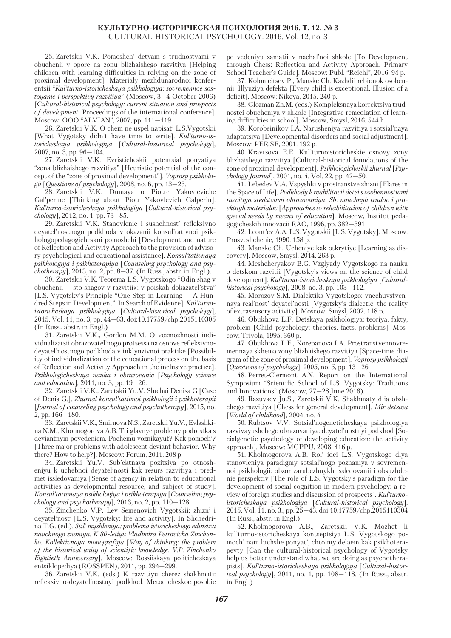25. Zaretskii V.K. Pomoshch' detyam s trudnostyami v obuchenii v opore na zonu blizhaishego razvitiya [Helping children with learning difficulties in relying on the zone of proximal development]. Materialy mezhdunarodnoi konferentsii "*Kul'turno-istoricheskaya psikhologiya: sovremennoe sostoyanie i perspektivy razvitiya*" (Moscow, 3—4 October 2006) [C*ultural-historical psychology: current situation and prospects of development*. Proceedings of the international conference]. Moscow: OOO "ALVIAN", 2007, pp. 111—119.

26. Zaretskii V.K. O chem ne uspel napisat' L.S.Vygotskii [What Vygotsky didn't have time to write]. *Kul'turno-istoricheskaya psikhologiya* [*Сultural-historical psychology*], 2007, no. 3, pp. 96—104.

27. Zaretskii V.K. Evristicheskii potentsial ponyatiya "zona blizhaishego razvitiya" [Heuristic potential of the concept of the "zone of proximal development"]. *Voprosy psikhologii* [*Questions of psychology*], 2008, no. 6, pp. 13—25.

28. Zaretskii V.K. Dumaya o Piotre Yakovleviche Gal'perine [Thinking about Piotr Yakovlevich Galperin]. *Kul'turno-istoricheskaya psikhologiya* [*Cultural-historical psychology*], 2012, no. 1, pp. 73—85.

29. Zaretskii V.K. Stanovlenie i sushchnost' refleksivno deyatel'nostnogo podkhoda v okazanii konsul'tativnoi psikhologopedagogicheskoi pomoshchi [Development and nature of Reflection and Activity Approach to the provision of advisory psychological and educational assistance]. *Konsul'tativnaya psikhologiya i psikhoterapiya* [*Counseling psychology and psychotherapy*], 2013, no. 2, pp. 8—37. (In Russ., abstr. in Engl.).

30. Zaretskii V.K. Teorema L.S. Vygotskogo "Odin shag v obuchenii — sto shagov v razvitii»: v poiskah dokazatel'stva" [L.S. Vygotsky's Principle "One Step in Learning — A Hundred Steps in Development": In Search of Evidence]. *Kul'turnoistoricheskaya psikhologiya* [*Сultural-historical psychology*], 2015. Vol. 11, no. 3, pp. 44—63. doi:10.17759/chp.2015110305 (In Russ., abstr. in Engl.)

31. Zaretskii V.K., Gordon M.M. O vozmozhnosti individualizatsii obrazovatel'nogo protsessa na osnove refleksivnodeyatel'nostnogo podkhoda v inklyuzivnoi praktike [Possibility of individualization of the educational process on the basis of Reflection and Activity Approach in the inclusive practice]. *Psikhologicheskaya nauka i obrazovanie* [*Psychology science and education*], 2011, no. 3, pp. 19—26.

32. Zaretskii V.K., Zaretskii Yu.V. Sluchai Denisa G [Case of Denis G.]. *Zhurnal konsul'tativnoi psikhologii i psikhoterapii* [*Journal of counseling psychology and psychotherapy*], 2015, no. 2, pp. 166—180.

33. Zaretskii V.K., Smirnova N.S., Zaretskii Yu.V., Evlashkina N.M., Kholmogorova A.B. Tri glavnye problemy podrostka s deviantnym povedeniem. Pochemu voznikayut? Kak pomoch'? [Three major problems with adolescent deviant behavior. Why there? How to help?]. Moscow: Forum, 2011. 208 p.

34. Zaretskii Yu.V. Sub'ektnaya pozitsiya po otnosheniyu k uchebnoi deyatel'nosti kak resurs razvitiya i predmet issledovaniya [Sense of agency in relation to educational activities as developmental resource, and subject of study]. *Konsul'tativnaya psikhologiya i psikhoterapiya* [*Counseling psychology and psychotherapy*], 2013, no. 2, pp. 110—128.

35. Zinchenko V.P. Lev Semenovich Vygotskii: zhizn' i deyatel'nost' [L.S. Vygotsky: life and activity]. In Shchedrina T.G. (ed.). *Stil' myshleniya: problema istoricheskogo edinstva nauchnogo znaniya. K 80-letiyu Vladimira Petrovicha Zinchenko. Kollektivnaya monografiya* [*Way of thinking: the problem of the historical unity of scientific knowledge. V.P. Zinchenko Eightieth Anniversary*]. Moscow: Rossiiskaya politicheskaya entsiklopediya (ROSSPEN), 2011, pp. 294—299.

36. Zaretskii V.K. (eds.) K razvitiyu cherez shakhmati: refleksivno-deyatel'nostnyi podkhod. Metodicheskoe posobie po vedeniyu zaniatii v nachal'noi shkole [To Development through Chess: Reflection and Activity Approach. Primary School Teacher's Guide]. Moscow: Publ. "Reichl", 2016. 94 p.

37. Kolomeitsev P., Manske Ch. Kazhdii rebionok osobennii. Illyuziya defekta [Every child is exceptional. Illusion of a deficit]. Moscow: Nikeya, 2015. 240 p.

38. Glozman Zh.M. (eds.) Kompleksnaya korrektsiya trudnostei obucheniya v shkole [Integrative remediation of learning difficulties in school]. Moscow, Smysl, 2016. 544 h.

39. Korobeinikov I.A. Narusheniya razvitiya i sotsial'naya adaptatsiya [Developmental disorders and social adjustment]. Moscow: PER SE, 2001. 192 p.

40. Kravtsova E.E. Kul'turnoistoricheskie osnovy zony blizhaishego razvitiya [Cultural-historical foundations of the zone of proximal development]. *Psikhologicheskii zhurnal* [*Psychology Journal*], 2001, no. 4. Vol. 22, pp. 42—50.

41. Lebedev V.A. Vspyshki v prostranstve zhizni [Flares in the Space of Life]. *Podkhody k reabilitacii detei s osobennostiami razvitiya sredstvami obrazovaniya. Sb. nauchnyh trudov i proektnyh materialov* [*Approaches to rehabilitation of children with special needs by means of education*]. Moscow, Institut pedagogicheskih innovacii RAO, 1996, pp. 382—391

42. Leont'ev A.A. L.S. Vygotskii [L.S. Vygotsky]. Moscow: Prosveshchenie, 1990. 158 p.

43. Manske Ch. Ucheniye kak otkrytiye [Learning as discovery]. Moscow, Smysl, 2014. 263 p.

44. Meshcheryakov B.G. Vzglyady Vygotskogo na nauku o detskom razvitii [Vygotsky's views on the science of child development]. *Kul'turno-istoricheskaya psikhologiya* [*Culturalhistorical psychology*], 2008, no. 3, pp. 103—112.

45. Morozov S.M. Dialektika Vygotskogo: vnechuvstvennaya real'nost' deyatel'nosti [Vygotsky's dialectic: the reality of extrasensory activity]. Moscow: Smysl, 2002. 118 p.

46. Obukhova L.F. Detskaya psikhologiya: teoriya, fakty, problem [Child psychology: theories, facts, problems]. Moscow: Trivola, 1995. 360 p.

47. Obukhova L.F., Korepanova I.A. Prostranstvennovremennaya skhema zony blizhaishego razvitiya [Space-time diagram of the zone of proximal development]. *Voprosy psikhologii* [*Questions of psychology*], 2005, no. 5, pp. 13—26.

48. Perret-Clermont A.N. Report on the International Symposium "Scientific School of L.S. Vygotsky: Traditions and Innovations" (Moscow, 27—28 June 2016).

49. Razuvaev Ju.S., Zaretskii V.K. Shakhmaty dlia obshchego razvitiya [Chess for general development]. *Mir detstva* [*World of childhood*], 2004, no. 4

50. Rubtsov V.V. Sotsial'nogeneticheskaya psikhologiya razvivayushchego obrazovaniya: deyatel'nostnyi podkhod [Socialgenetic psychology of developing education: the activity approach]. Moscow: MGPPU, 2008. 416 p.

51. Kholmogorova A.B. Rol' idei L.S. Vygotskogo dlya stanovleniya paradigmy sotsial'nogo poznaniya v sovremennoi psikhologii: obzor zarubezhnykh issledovanii i obsuzhdenie perspektiv [The role of L.S. Vygotsky's paradigm for the development of social cognition in modern psychology: a review of foreign studies and discussion of prospects]. *Kul'turnoistoricheskaya psikhologiya* [*Cultural-historical psychology*], 2015. Vol. 11, no. 3., pp. 25—43. doi:10.17759/chp.2015110304 (In Russ., abstr. in Engl.)

52. Kholmogorova A.B., Zaretskii V.K. Mozhet li kul'turno-istoricheskaya kontseptsiya L.S. Vygotskogo pomoch' nam luchshe ponyat', chto my delaem kak psikhoterapevty [Can the cultural-historical psychology of Vygotsky help us better understand what we are doing as psychotherapists]. *Kul'turno-istoricheskaya psikhologiya* [*Cultural-historical psychology*], 2011, no. 1, pp. 108—118. (In Russ., abstr. in Engl.)